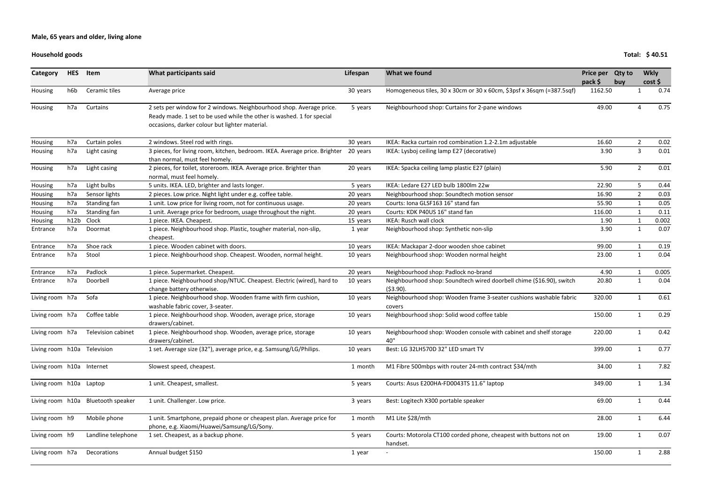### **Household goods**

| Category                    | <b>HES</b> | Item                               | What participants said                                                                                                                                                                         | Lifespan | What we found                                                                       | Price per Qty to   |     | <b>Wkly</b>    |       |
|-----------------------------|------------|------------------------------------|------------------------------------------------------------------------------------------------------------------------------------------------------------------------------------------------|----------|-------------------------------------------------------------------------------------|--------------------|-----|----------------|-------|
| Housing                     | h6b        | Ceramic tiles                      | Average price                                                                                                                                                                                  | 30 years | Homogeneous tiles, 30 x 30cm or 30 x 60cm, \$3psf x 36sqm (=387.5sqf)               | pack \$<br>1162.50 | buy | cost           | 0.74  |
| Housing                     | h7a        | Curtains                           | 2 sets per window for 2 windows. Neighbourhood shop. Average price.<br>Ready made. 1 set to be used while the other is washed. 1 for special<br>occasions, darker colour but lighter material. | 5 years  | Neighbourhood shop: Curtains for 2-pane windows                                     | 49.00              |     |                | 0.75  |
| Housing                     | h7a        | Curtain poles                      | 2 windows. Steel rod with rings.                                                                                                                                                               | 30 years | IKEA: Racka curtain rod combination 1.2-2.1m adjustable                             | 16.60              |     | $\overline{2}$ | 0.02  |
| Housing                     | h7a        | Light casing                       | 3 pieces, for living room, kitchen, bedroom. IKEA. Average price. Brighter<br>than normal, must feel homely.                                                                                   | 20 years | IKEA: Lysboj ceiling lamp E27 (decorative)                                          | 3.90               |     | 3              | 0.01  |
| Housing                     | h7a        | Light casing                       | 2 pieces, for toilet, storeroom. IKEA. Average price. Brighter than<br>normal, must feel homely.                                                                                               | 20 years | IKEA: Spacka ceiling lamp plastic E27 (plain)                                       | 5.90               |     | $\overline{2}$ | 0.01  |
| Housing                     | h7a        | Light bulbs                        | 5 units. IKEA. LED, brighter and lasts longer.                                                                                                                                                 | 5 years  | IKEA: Ledare E27 LED bulb 1800lm 22w                                                | 22.90              |     | 5              | 0.44  |
| Housing                     | h7a        | Sensor lights                      | 2 pieces. Low price. Night light under e.g. coffee table.                                                                                                                                      | 20 years | Neighbourhood shop: Soundtech motion sensor                                         | 16.90              |     | $\overline{2}$ | 0.03  |
| Housing                     | h7a        | Standing fan                       | 1 unit. Low price for living room, not for continuous usage.                                                                                                                                   | 20 years | Courts: Iona GLSF163 16" stand fan                                                  | 55.90              |     |                | 0.05  |
| Housing                     | h7a        | Standing fan                       | 1 unit. Average price for bedroom, usage throughout the night.                                                                                                                                 | 20 years | Courts: KDK P40US 16" stand fan                                                     | 116.00             |     |                | 0.11  |
| Housing                     | h12b       | Clock                              | 1 piece. IKEA. Cheapest.                                                                                                                                                                       | 15 years | <b>IKEA: Rusch wall clock</b>                                                       | 1.90               |     |                | 0.002 |
| Entrance                    | h7a        | Doormat                            | 1 piece. Neighbourhood shop. Plastic, tougher material, non-slip,<br>cheapest.                                                                                                                 | 1 year   | Neighbourhood shop: Synthetic non-slip                                              | 3.90               |     |                | 0.07  |
| Entrance                    | h7a        | Shoe rack                          | 1 piece. Wooden cabinet with doors.                                                                                                                                                            | 10 years | IKEA: Mackapar 2-door wooden shoe cabinet                                           | 99.00              |     |                | 0.19  |
| Entrance                    | h7a        | Stool                              | 1 piece. Neighbourhood shop. Cheapest. Wooden, normal height.                                                                                                                                  | 10 years | Neighbourhood shop: Wooden normal height                                            | 23.00              |     | $\mathbf{1}$   | 0.04  |
| Entrance                    | h7a        | Padlock                            | 1 piece. Supermarket. Cheapest.                                                                                                                                                                | 20 years | Neighbourhood shop: Padlock no-brand                                                | 4.90               |     |                | 0.005 |
| Entrance                    | h7a        | Doorbell                           | 1 piece. Neighbourhood shop/NTUC. Cheapest. Electric (wired), hard to<br>change battery otherwise.                                                                                             | 10 years | Neighbourhood shop: Soundtech wired doorbell chime (\$16.90), switch<br>$(53.90)$ . | 20.80              |     |                | 0.04  |
| Living room h7a             |            | Sofa                               | 1 piece. Neighbourhood shop. Wooden frame with firm cushion,<br>washable fabric cover, 3-seater.                                                                                               | 10 years | Neighbourhood shop: Wooden frame 3-seater cushions washable fabric<br>covers        | 320.00             |     |                | 0.61  |
| Living room h7a             |            | Coffee table                       | 1 piece. Neighbourhood shop. Wooden, average price, storage<br>drawers/cabinet.                                                                                                                | 10 years | Neighbourhood shop: Solid wood coffee table                                         | 150.00             |     |                | 0.29  |
| Living room h7a             |            | Television cabinet                 | 1 piece. Neighbourhood shop. Wooden, average price, storage<br>drawers/cabinet.                                                                                                                | 10 years | Neighbourhood shop: Wooden console with cabinet and shelf storage<br>40"            | 220.00             |     |                | 0.42  |
| Living room h10a Television |            |                                    | 1 set. Average size (32"), average price, e.g. Samsung/LG/Philips.                                                                                                                             | 10 years | Best: LG 32LH570D 32" LED smart TV                                                  | 399.00             |     |                | 0.77  |
| Living room h10a Internet   |            |                                    | Slowest speed, cheapest.                                                                                                                                                                       | 1 month  | M1 Fibre 500mbps with router 24-mth contract \$34/mth                               | 34.00              |     | $\mathbf{1}$   | 7.82  |
| Living room h10a Laptop     |            |                                    | 1 unit. Cheapest, smallest.                                                                                                                                                                    | 5 years  | Courts: Asus E200HA-FD0043TS 11.6" laptop                                           | 349.00             |     |                | 1.34  |
|                             |            | Living room h10a Bluetooth speaker | 1 unit. Challenger. Low price.                                                                                                                                                                 | 3 years  | Best: Logitech X300 portable speaker                                                | 69.00              |     |                | 0.44  |
| Living room h9              |            | Mobile phone                       | 1 unit. Smartphone, prepaid phone or cheapest plan. Average price for<br>phone, e.g. Xiaomi/Huawei/Samsung/LG/Sony.                                                                            | 1 month  | M1 Lite \$28/mth                                                                    | 28.00              |     |                | 6.44  |
| Living room h9              |            | Landline telephone                 | 1 set. Cheapest, as a backup phone.                                                                                                                                                            | 5 years  | Courts: Motorola CT100 corded phone, cheapest with buttons not on<br>handset.       | 19.00              |     |                | 0.07  |
| Living room h7a             |            | Decorations                        | Annual budget \$150                                                                                                                                                                            | 1 year   |                                                                                     | 150.00             |     |                | 2.88  |

**Total: \$ 40.51**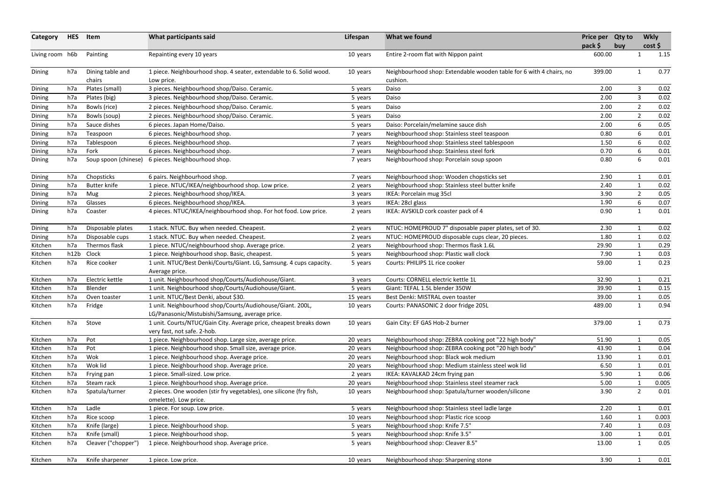| pack \$<br>cost<br>buy<br>Entire 2-room flat with Nippon paint<br>1.15<br>Living room h6b<br>Painting<br>Repainting every 10 years<br>600.00<br>10 years<br>-1<br>0.77<br>Neighbourhood shop: Extendable wooden table for 6 with 4 chairs, no<br>399.00<br>Dining table and<br>1 piece. Neighbourhood shop. 4 seater, extendable to 6. Solid wood.<br>Dining<br>h7a<br>10 years<br>$\mathbf{1}$<br>chairs<br>cushion.<br>Low price.<br>3 pieces. Neighbourhood shop/Daiso. Ceramic.<br>2.00<br>3<br>h7a<br>Plates (small)<br>Daiso<br>0.02<br>Dining<br>5 years<br>3<br>0.02<br>h7a<br>Plates (big)<br>3 pieces. Neighbourhood shop/Daiso. Ceramic.<br>2.00<br>Dining<br>Daiso<br>5 years<br>Bowls (rice)<br>2 pieces. Neighbourhood shop/Daiso. Ceramic.<br>$\overline{2}$<br>0.02<br>h7a<br>2.00<br>Daiso<br>Dining<br>5 years<br>0.02<br>h7a<br>2 pieces. Neighbourhood shop/Daiso. Ceramic.<br>2.00<br>$\overline{2}$<br>Dining<br>Bowls (soup)<br>Daiso<br>5 years<br>6<br>Sauce dishes<br>Daiso: Porcelain/melamine sauce dish<br>2.00<br>0.05<br>h7a<br>6 pieces. Japan Home/Daiso.<br>Dining<br>5 years<br>h7a<br>6 pieces. Neighbourhood shop.<br>0.80<br>6<br>0.01<br>Teaspoon<br>Neighbourhood shop: Stainless steel teaspoon<br>Dining<br>7 years<br>6<br>0.02<br>h7a<br>Tablespoon<br>6 pieces. Neighbourhood shop.<br>Neighbourhood shop: Stainless steel tablespoon<br>1.50<br>Dining<br>7 years<br>Fork<br>0.01<br>h7a<br>6 pieces. Neighbourhood shop.<br>Neighbourhood shop: Stainless steel fork<br>0.70<br>6<br>Dining<br>7 years<br>6<br>6 pieces. Neighbourhood shop.<br>0.01<br>h7a<br>Soup spoon (chinese)<br>Neighbourhood shop: Porcelain soup spoon<br>0.80<br>Dining<br>7 years<br>Chopsticks<br>6 pairs. Neighbourhood shop.<br>Neighbourhood shop: Wooden chopsticks set<br>2.90<br>Dining<br>h7a<br>0.01<br>1<br>7 years<br>h7a<br><b>Butter knife</b><br>1 piece. NTUC/IKEA/neighbourhood shop. Low price.<br>2.40<br>0.02<br>Neighbourhood shop: Stainless steel butter knife<br>$\mathbf{1}$<br>Dining<br>2 years<br>h7a<br>0.05<br>Mug<br>2 pieces. Neighbourhood shop/IKEA.<br>IKEA: Porcelain mug 35cl<br>3.90<br>$\overline{2}$<br>Dining<br>3 years<br>0.07<br>h7a<br>Glasses<br>6 pieces. Neighbourhood shop/IKEA.<br>IKEA: 28cl glass<br>1.90<br>6<br>Dining<br>3 years<br>4 pieces. NTUC/IKEA/neighbourhood shop. For hot food. Low price.<br>IKEA: AVSKILD cork coaster pack of 4<br>0.90<br>0.01<br>h7a<br>Coaster<br>$\mathbf{1}$<br>Dining<br>2 years<br>1 stack. NTUC. Buy when needed. Cheapest.<br>NTUC: HOMEPROUD 7" disposable paper plates, set of 30.<br>2.30<br>Disposable plates<br>0.02<br>Dining<br>h7a<br>2 years<br>0.02<br>h7a<br>1 stack. NTUC. Buy when needed. Cheapest.<br>NTUC: HOMEPROUD disposable cups clear, 20 pieces.<br>1.80<br>Disposable cups<br>1<br>Dining<br>2 years<br>h7a<br>Thermos flask<br>1 piece. NTUC/neighbourhood shop. Average price.<br>Neighbourhood shop: Thermos flask 1.6L<br>29.90<br>0.29<br>$\mathbf{1}$<br>Kitchen<br>2 years<br>h12b<br>Clock<br>7.90<br>0.03<br>Kitchen<br>1 piece. Neighbourhood shop. Basic, cheapest.<br>Neighbourhood shop: Plastic wall clock<br>$\mathbf{1}$<br>5 years<br>Rice cooker<br>1 unit. NTUC/Best Denki/Courts/Giant. LG, Samsung. 4 cups capacity.<br>0.23<br>Kitchen<br>h7a<br>Courts: PHILIPS 1L rice cooker<br>59.00<br>$\mathbf{1}$<br>5 years<br>Average price.<br>Electric kettle<br>1 unit. Neighbourhood shop/Courts/Audiohouse/Giant.<br>h7a<br>Courts: CORNELL electric kettle 1L<br>32.90<br>0.21<br>Kitchen<br>$\mathbf{1}$<br>3 years<br>1 unit. Neighbourhood shop/Courts/Audiohouse/Giant.<br>Blender<br>Giant: TEFAL 1.5L blender 350W<br>39.90<br>0.15<br>Kitchen<br>h7a<br>$\mathbf{1}$<br>5 years<br>Kitchen<br>h7a<br>Oven toaster<br>1 unit. NTUC/Best Denki, about \$30.<br>15 years<br>Best Denki: MISTRAL oven toaster<br>39.00<br>0.05<br>1 unit. Neighbourhood shop/Courts/Audiohouse/Giant. 200L,<br>0.94<br>Fridge<br>Courts: PANASONIC 2 door fridge 205L<br>489.00<br>Kitchen<br>h7a<br>10 years<br>$\mathbf{1}$<br>LG/Panasonic/Mistubishi/Samsung, average price.<br>Stove<br>1 unit. Courts/NTUC/Gain City. Average price, cheapest breaks down<br>h7a<br>Gain City: EF GAS Hob-2 burner<br>379.00<br>0.73<br>Kitchen<br>10 years<br>1<br>very fast, not safe. 2-hob.<br>Neighbourhood shop: ZEBRA cooking pot "22 high body"<br>Kitchen<br>h7a<br>Pot<br>1 piece. Neighbourhood shop. Large size, average price.<br>51.90<br>0.05<br>20 years<br>h7a<br>Pot<br>1 piece. Neighbourhood shop. Small size, average price.<br>Neighbourhood shop: ZEBRA cooking pot "20 high body"<br>43.90<br>0.04<br>Kitchen<br>20 years<br>Wok<br>Kitchen<br>h7a<br>Neighbourhood shop: Black wok medium<br>1 piece. Neighbourhood shop. Average price.<br>13.90<br>0.01<br>20 years<br>h7a<br>Wok lid<br>1 piece. Neighbourhood shop. Average price.<br>Neighbourhood shop: Medium stainless steel wok lid<br>6.50<br>0.01<br>Kitchen<br>20 years<br>Kitchen<br>5.90<br>0.06<br>h7a<br>1 piece. Small-sized. Low price.<br>IKEA: KAVALKAD 24cm frying pan<br>Frying pan<br>2 years<br>h7a<br>Steam rack<br>1 piece. Neighbourhood shop. Average price.<br>Neighbourhood shop: Stainless steel steamer rack<br>0.005<br>Kitchen<br>5.00<br>20 years<br>2 pieces. One wooden (stir fry vegetables), one silicone (fry fish,<br>Neighbourhood shop: Spatula/turner wooden/silicone<br>3.90<br>$\overline{2}$<br>0.01<br>Kitchen<br>h7a<br>Spatula/turner<br>10 years<br>omelette). Low price.<br>h7a<br>Ladle<br>2.20<br>Neighbourhood shop: Stainless steel ladle large<br>0.01<br>Kitchen<br>1 piece. For soup. Low price.<br>5 years<br>Kitchen<br>0.003<br>h7a<br>1.60<br>Rice scoop<br>Neighbourhood shop: Plastic rice scoop<br>10 years<br>1 piece.<br>Neighbourhood shop: Knife 7.5"<br>0.03<br>Kitchen<br>h7a<br>Knife (large)<br>1 piece. Neighbourhood shop.<br>7.40<br>5 years<br>Kitchen<br>Knife (small)<br>1 piece. Neighbourhood shop.<br>Neighbourhood shop: Knife 3.5"<br>3.00<br>0.01<br>h7a<br>5 years<br>Cleaver ("chopper")<br>1 piece. Neighbourhood shop. Average price.<br>Neighbourhood shop: Cleaver 8.5"<br>0.05<br>Kitchen<br>h7a<br>13.00<br>$\mathbf{1}$<br>5 years<br>Knife sharpener<br>Neighbourhood shop: Sharpening stone<br>3.90<br>0.01<br>Kitchen<br>h7a<br>1 piece. Low price.<br>10 years | Category | <b>HES</b> | Item | What participants said | Lifespan | What we found | Price per Qty to |  | <b>Wkly</b> |
|---------------------------------------------------------------------------------------------------------------------------------------------------------------------------------------------------------------------------------------------------------------------------------------------------------------------------------------------------------------------------------------------------------------------------------------------------------------------------------------------------------------------------------------------------------------------------------------------------------------------------------------------------------------------------------------------------------------------------------------------------------------------------------------------------------------------------------------------------------------------------------------------------------------------------------------------------------------------------------------------------------------------------------------------------------------------------------------------------------------------------------------------------------------------------------------------------------------------------------------------------------------------------------------------------------------------------------------------------------------------------------------------------------------------------------------------------------------------------------------------------------------------------------------------------------------------------------------------------------------------------------------------------------------------------------------------------------------------------------------------------------------------------------------------------------------------------------------------------------------------------------------------------------------------------------------------------------------------------------------------------------------------------------------------------------------------------------------------------------------------------------------------------------------------------------------------------------------------------------------------------------------------------------------------------------------------------------------------------------------------------------------------------------------------------------------------------------------------------------------------------------------------------------------------------------------------------------------------------------------------------------------------------------------------------------------------------------------------------------------------------------------------------------------------------------------------------------------------------------------------------------------------------------------------------------------------------------------------------------------------------------------------------------------------------------------------------------------------------------------------------------------------------------------------------------------------------------------------------------------------------------------------------------------------------------------------------------------------------------------------------------------------------------------------------------------------------------------------------------------------------------------------------------------------------------------------------------------------------------------------------------------------------------------------------------------------------------------------------------------------------------------------------------------------------------------------------------------------------------------------------------------------------------------------------------------------------------------------------------------------------------------------------------------------------------------------------------------------------------------------------------------------------------------------------------------------------------------------------------------------------------------------------------------------------------------------------------------------------------------------------------------------------------------------------------------------------------------------------------------------------------------------------------------------------------------------------------------------------------------------------------------------------------------------------------------------------------------------------------------------------------------------------------------------------------------------------------------------------------------------------------------------------------------------------------------------------------------------------------------------------------------------------------------------------------------------------------------------------------------------------------------------------------------------------------------------------------------------------------------------------------------------------------------------------------------------------------------------------------------------------------------------------------------------------------------------------------------------------------------------------------------------------------------------------------------------------------------------------------------------------------------------------------------------------------------------------------------------------------------------------------------------------------------------------------------------------------------------------------------------------------------------------------------------------------------------------------------------------------------------------------------------------------------------------------------------------------------------------------------------------------------------------------------------------------------------------------------------------------------------------------------------------------------------------------------------------------------------------------------------------------------|----------|------------|------|------------------------|----------|---------------|------------------|--|-------------|
|                                                                                                                                                                                                                                                                                                                                                                                                                                                                                                                                                                                                                                                                                                                                                                                                                                                                                                                                                                                                                                                                                                                                                                                                                                                                                                                                                                                                                                                                                                                                                                                                                                                                                                                                                                                                                                                                                                                                                                                                                                                                                                                                                                                                                                                                                                                                                                                                                                                                                                                                                                                                                                                                                                                                                                                                                                                                                                                                                                                                                                                                                                                                                                                                                                                                                                                                                                                                                                                                                                                                                                                                                                                                                                                                                                                                                                                                                                                                                                                                                                                                                                                                                                                                                                                                                                                                                                                                                                                                                                                                                                                                                                                                                                                                                                                                                                                                                                                                                                                                                                                                                                                                                                                                                                                                                                                                                                                                                                                                                                                                                                                                                                                                                                                                                                                                                                                                                                                                                                                                                                                                                                                                                                                                                                                                                                                                                                                       |          |            |      |                        |          |               |                  |  |             |
|                                                                                                                                                                                                                                                                                                                                                                                                                                                                                                                                                                                                                                                                                                                                                                                                                                                                                                                                                                                                                                                                                                                                                                                                                                                                                                                                                                                                                                                                                                                                                                                                                                                                                                                                                                                                                                                                                                                                                                                                                                                                                                                                                                                                                                                                                                                                                                                                                                                                                                                                                                                                                                                                                                                                                                                                                                                                                                                                                                                                                                                                                                                                                                                                                                                                                                                                                                                                                                                                                                                                                                                                                                                                                                                                                                                                                                                                                                                                                                                                                                                                                                                                                                                                                                                                                                                                                                                                                                                                                                                                                                                                                                                                                                                                                                                                                                                                                                                                                                                                                                                                                                                                                                                                                                                                                                                                                                                                                                                                                                                                                                                                                                                                                                                                                                                                                                                                                                                                                                                                                                                                                                                                                                                                                                                                                                                                                                                       |          |            |      |                        |          |               |                  |  |             |
|                                                                                                                                                                                                                                                                                                                                                                                                                                                                                                                                                                                                                                                                                                                                                                                                                                                                                                                                                                                                                                                                                                                                                                                                                                                                                                                                                                                                                                                                                                                                                                                                                                                                                                                                                                                                                                                                                                                                                                                                                                                                                                                                                                                                                                                                                                                                                                                                                                                                                                                                                                                                                                                                                                                                                                                                                                                                                                                                                                                                                                                                                                                                                                                                                                                                                                                                                                                                                                                                                                                                                                                                                                                                                                                                                                                                                                                                                                                                                                                                                                                                                                                                                                                                                                                                                                                                                                                                                                                                                                                                                                                                                                                                                                                                                                                                                                                                                                                                                                                                                                                                                                                                                                                                                                                                                                                                                                                                                                                                                                                                                                                                                                                                                                                                                                                                                                                                                                                                                                                                                                                                                                                                                                                                                                                                                                                                                                                       |          |            |      |                        |          |               |                  |  |             |
|                                                                                                                                                                                                                                                                                                                                                                                                                                                                                                                                                                                                                                                                                                                                                                                                                                                                                                                                                                                                                                                                                                                                                                                                                                                                                                                                                                                                                                                                                                                                                                                                                                                                                                                                                                                                                                                                                                                                                                                                                                                                                                                                                                                                                                                                                                                                                                                                                                                                                                                                                                                                                                                                                                                                                                                                                                                                                                                                                                                                                                                                                                                                                                                                                                                                                                                                                                                                                                                                                                                                                                                                                                                                                                                                                                                                                                                                                                                                                                                                                                                                                                                                                                                                                                                                                                                                                                                                                                                                                                                                                                                                                                                                                                                                                                                                                                                                                                                                                                                                                                                                                                                                                                                                                                                                                                                                                                                                                                                                                                                                                                                                                                                                                                                                                                                                                                                                                                                                                                                                                                                                                                                                                                                                                                                                                                                                                                                       |          |            |      |                        |          |               |                  |  |             |
|                                                                                                                                                                                                                                                                                                                                                                                                                                                                                                                                                                                                                                                                                                                                                                                                                                                                                                                                                                                                                                                                                                                                                                                                                                                                                                                                                                                                                                                                                                                                                                                                                                                                                                                                                                                                                                                                                                                                                                                                                                                                                                                                                                                                                                                                                                                                                                                                                                                                                                                                                                                                                                                                                                                                                                                                                                                                                                                                                                                                                                                                                                                                                                                                                                                                                                                                                                                                                                                                                                                                                                                                                                                                                                                                                                                                                                                                                                                                                                                                                                                                                                                                                                                                                                                                                                                                                                                                                                                                                                                                                                                                                                                                                                                                                                                                                                                                                                                                                                                                                                                                                                                                                                                                                                                                                                                                                                                                                                                                                                                                                                                                                                                                                                                                                                                                                                                                                                                                                                                                                                                                                                                                                                                                                                                                                                                                                                                       |          |            |      |                        |          |               |                  |  |             |
|                                                                                                                                                                                                                                                                                                                                                                                                                                                                                                                                                                                                                                                                                                                                                                                                                                                                                                                                                                                                                                                                                                                                                                                                                                                                                                                                                                                                                                                                                                                                                                                                                                                                                                                                                                                                                                                                                                                                                                                                                                                                                                                                                                                                                                                                                                                                                                                                                                                                                                                                                                                                                                                                                                                                                                                                                                                                                                                                                                                                                                                                                                                                                                                                                                                                                                                                                                                                                                                                                                                                                                                                                                                                                                                                                                                                                                                                                                                                                                                                                                                                                                                                                                                                                                                                                                                                                                                                                                                                                                                                                                                                                                                                                                                                                                                                                                                                                                                                                                                                                                                                                                                                                                                                                                                                                                                                                                                                                                                                                                                                                                                                                                                                                                                                                                                                                                                                                                                                                                                                                                                                                                                                                                                                                                                                                                                                                                                       |          |            |      |                        |          |               |                  |  |             |
|                                                                                                                                                                                                                                                                                                                                                                                                                                                                                                                                                                                                                                                                                                                                                                                                                                                                                                                                                                                                                                                                                                                                                                                                                                                                                                                                                                                                                                                                                                                                                                                                                                                                                                                                                                                                                                                                                                                                                                                                                                                                                                                                                                                                                                                                                                                                                                                                                                                                                                                                                                                                                                                                                                                                                                                                                                                                                                                                                                                                                                                                                                                                                                                                                                                                                                                                                                                                                                                                                                                                                                                                                                                                                                                                                                                                                                                                                                                                                                                                                                                                                                                                                                                                                                                                                                                                                                                                                                                                                                                                                                                                                                                                                                                                                                                                                                                                                                                                                                                                                                                                                                                                                                                                                                                                                                                                                                                                                                                                                                                                                                                                                                                                                                                                                                                                                                                                                                                                                                                                                                                                                                                                                                                                                                                                                                                                                                                       |          |            |      |                        |          |               |                  |  |             |
|                                                                                                                                                                                                                                                                                                                                                                                                                                                                                                                                                                                                                                                                                                                                                                                                                                                                                                                                                                                                                                                                                                                                                                                                                                                                                                                                                                                                                                                                                                                                                                                                                                                                                                                                                                                                                                                                                                                                                                                                                                                                                                                                                                                                                                                                                                                                                                                                                                                                                                                                                                                                                                                                                                                                                                                                                                                                                                                                                                                                                                                                                                                                                                                                                                                                                                                                                                                                                                                                                                                                                                                                                                                                                                                                                                                                                                                                                                                                                                                                                                                                                                                                                                                                                                                                                                                                                                                                                                                                                                                                                                                                                                                                                                                                                                                                                                                                                                                                                                                                                                                                                                                                                                                                                                                                                                                                                                                                                                                                                                                                                                                                                                                                                                                                                                                                                                                                                                                                                                                                                                                                                                                                                                                                                                                                                                                                                                                       |          |            |      |                        |          |               |                  |  |             |
|                                                                                                                                                                                                                                                                                                                                                                                                                                                                                                                                                                                                                                                                                                                                                                                                                                                                                                                                                                                                                                                                                                                                                                                                                                                                                                                                                                                                                                                                                                                                                                                                                                                                                                                                                                                                                                                                                                                                                                                                                                                                                                                                                                                                                                                                                                                                                                                                                                                                                                                                                                                                                                                                                                                                                                                                                                                                                                                                                                                                                                                                                                                                                                                                                                                                                                                                                                                                                                                                                                                                                                                                                                                                                                                                                                                                                                                                                                                                                                                                                                                                                                                                                                                                                                                                                                                                                                                                                                                                                                                                                                                                                                                                                                                                                                                                                                                                                                                                                                                                                                                                                                                                                                                                                                                                                                                                                                                                                                                                                                                                                                                                                                                                                                                                                                                                                                                                                                                                                                                                                                                                                                                                                                                                                                                                                                                                                                                       |          |            |      |                        |          |               |                  |  |             |
|                                                                                                                                                                                                                                                                                                                                                                                                                                                                                                                                                                                                                                                                                                                                                                                                                                                                                                                                                                                                                                                                                                                                                                                                                                                                                                                                                                                                                                                                                                                                                                                                                                                                                                                                                                                                                                                                                                                                                                                                                                                                                                                                                                                                                                                                                                                                                                                                                                                                                                                                                                                                                                                                                                                                                                                                                                                                                                                                                                                                                                                                                                                                                                                                                                                                                                                                                                                                                                                                                                                                                                                                                                                                                                                                                                                                                                                                                                                                                                                                                                                                                                                                                                                                                                                                                                                                                                                                                                                                                                                                                                                                                                                                                                                                                                                                                                                                                                                                                                                                                                                                                                                                                                                                                                                                                                                                                                                                                                                                                                                                                                                                                                                                                                                                                                                                                                                                                                                                                                                                                                                                                                                                                                                                                                                                                                                                                                                       |          |            |      |                        |          |               |                  |  |             |
|                                                                                                                                                                                                                                                                                                                                                                                                                                                                                                                                                                                                                                                                                                                                                                                                                                                                                                                                                                                                                                                                                                                                                                                                                                                                                                                                                                                                                                                                                                                                                                                                                                                                                                                                                                                                                                                                                                                                                                                                                                                                                                                                                                                                                                                                                                                                                                                                                                                                                                                                                                                                                                                                                                                                                                                                                                                                                                                                                                                                                                                                                                                                                                                                                                                                                                                                                                                                                                                                                                                                                                                                                                                                                                                                                                                                                                                                                                                                                                                                                                                                                                                                                                                                                                                                                                                                                                                                                                                                                                                                                                                                                                                                                                                                                                                                                                                                                                                                                                                                                                                                                                                                                                                                                                                                                                                                                                                                                                                                                                                                                                                                                                                                                                                                                                                                                                                                                                                                                                                                                                                                                                                                                                                                                                                                                                                                                                                       |          |            |      |                        |          |               |                  |  |             |
|                                                                                                                                                                                                                                                                                                                                                                                                                                                                                                                                                                                                                                                                                                                                                                                                                                                                                                                                                                                                                                                                                                                                                                                                                                                                                                                                                                                                                                                                                                                                                                                                                                                                                                                                                                                                                                                                                                                                                                                                                                                                                                                                                                                                                                                                                                                                                                                                                                                                                                                                                                                                                                                                                                                                                                                                                                                                                                                                                                                                                                                                                                                                                                                                                                                                                                                                                                                                                                                                                                                                                                                                                                                                                                                                                                                                                                                                                                                                                                                                                                                                                                                                                                                                                                                                                                                                                                                                                                                                                                                                                                                                                                                                                                                                                                                                                                                                                                                                                                                                                                                                                                                                                                                                                                                                                                                                                                                                                                                                                                                                                                                                                                                                                                                                                                                                                                                                                                                                                                                                                                                                                                                                                                                                                                                                                                                                                                                       |          |            |      |                        |          |               |                  |  |             |
|                                                                                                                                                                                                                                                                                                                                                                                                                                                                                                                                                                                                                                                                                                                                                                                                                                                                                                                                                                                                                                                                                                                                                                                                                                                                                                                                                                                                                                                                                                                                                                                                                                                                                                                                                                                                                                                                                                                                                                                                                                                                                                                                                                                                                                                                                                                                                                                                                                                                                                                                                                                                                                                                                                                                                                                                                                                                                                                                                                                                                                                                                                                                                                                                                                                                                                                                                                                                                                                                                                                                                                                                                                                                                                                                                                                                                                                                                                                                                                                                                                                                                                                                                                                                                                                                                                                                                                                                                                                                                                                                                                                                                                                                                                                                                                                                                                                                                                                                                                                                                                                                                                                                                                                                                                                                                                                                                                                                                                                                                                                                                                                                                                                                                                                                                                                                                                                                                                                                                                                                                                                                                                                                                                                                                                                                                                                                                                                       |          |            |      |                        |          |               |                  |  |             |
|                                                                                                                                                                                                                                                                                                                                                                                                                                                                                                                                                                                                                                                                                                                                                                                                                                                                                                                                                                                                                                                                                                                                                                                                                                                                                                                                                                                                                                                                                                                                                                                                                                                                                                                                                                                                                                                                                                                                                                                                                                                                                                                                                                                                                                                                                                                                                                                                                                                                                                                                                                                                                                                                                                                                                                                                                                                                                                                                                                                                                                                                                                                                                                                                                                                                                                                                                                                                                                                                                                                                                                                                                                                                                                                                                                                                                                                                                                                                                                                                                                                                                                                                                                                                                                                                                                                                                                                                                                                                                                                                                                                                                                                                                                                                                                                                                                                                                                                                                                                                                                                                                                                                                                                                                                                                                                                                                                                                                                                                                                                                                                                                                                                                                                                                                                                                                                                                                                                                                                                                                                                                                                                                                                                                                                                                                                                                                                                       |          |            |      |                        |          |               |                  |  |             |
|                                                                                                                                                                                                                                                                                                                                                                                                                                                                                                                                                                                                                                                                                                                                                                                                                                                                                                                                                                                                                                                                                                                                                                                                                                                                                                                                                                                                                                                                                                                                                                                                                                                                                                                                                                                                                                                                                                                                                                                                                                                                                                                                                                                                                                                                                                                                                                                                                                                                                                                                                                                                                                                                                                                                                                                                                                                                                                                                                                                                                                                                                                                                                                                                                                                                                                                                                                                                                                                                                                                                                                                                                                                                                                                                                                                                                                                                                                                                                                                                                                                                                                                                                                                                                                                                                                                                                                                                                                                                                                                                                                                                                                                                                                                                                                                                                                                                                                                                                                                                                                                                                                                                                                                                                                                                                                                                                                                                                                                                                                                                                                                                                                                                                                                                                                                                                                                                                                                                                                                                                                                                                                                                                                                                                                                                                                                                                                                       |          |            |      |                        |          |               |                  |  |             |
|                                                                                                                                                                                                                                                                                                                                                                                                                                                                                                                                                                                                                                                                                                                                                                                                                                                                                                                                                                                                                                                                                                                                                                                                                                                                                                                                                                                                                                                                                                                                                                                                                                                                                                                                                                                                                                                                                                                                                                                                                                                                                                                                                                                                                                                                                                                                                                                                                                                                                                                                                                                                                                                                                                                                                                                                                                                                                                                                                                                                                                                                                                                                                                                                                                                                                                                                                                                                                                                                                                                                                                                                                                                                                                                                                                                                                                                                                                                                                                                                                                                                                                                                                                                                                                                                                                                                                                                                                                                                                                                                                                                                                                                                                                                                                                                                                                                                                                                                                                                                                                                                                                                                                                                                                                                                                                                                                                                                                                                                                                                                                                                                                                                                                                                                                                                                                                                                                                                                                                                                                                                                                                                                                                                                                                                                                                                                                                                       |          |            |      |                        |          |               |                  |  |             |
|                                                                                                                                                                                                                                                                                                                                                                                                                                                                                                                                                                                                                                                                                                                                                                                                                                                                                                                                                                                                                                                                                                                                                                                                                                                                                                                                                                                                                                                                                                                                                                                                                                                                                                                                                                                                                                                                                                                                                                                                                                                                                                                                                                                                                                                                                                                                                                                                                                                                                                                                                                                                                                                                                                                                                                                                                                                                                                                                                                                                                                                                                                                                                                                                                                                                                                                                                                                                                                                                                                                                                                                                                                                                                                                                                                                                                                                                                                                                                                                                                                                                                                                                                                                                                                                                                                                                                                                                                                                                                                                                                                                                                                                                                                                                                                                                                                                                                                                                                                                                                                                                                                                                                                                                                                                                                                                                                                                                                                                                                                                                                                                                                                                                                                                                                                                                                                                                                                                                                                                                                                                                                                                                                                                                                                                                                                                                                                                       |          |            |      |                        |          |               |                  |  |             |
|                                                                                                                                                                                                                                                                                                                                                                                                                                                                                                                                                                                                                                                                                                                                                                                                                                                                                                                                                                                                                                                                                                                                                                                                                                                                                                                                                                                                                                                                                                                                                                                                                                                                                                                                                                                                                                                                                                                                                                                                                                                                                                                                                                                                                                                                                                                                                                                                                                                                                                                                                                                                                                                                                                                                                                                                                                                                                                                                                                                                                                                                                                                                                                                                                                                                                                                                                                                                                                                                                                                                                                                                                                                                                                                                                                                                                                                                                                                                                                                                                                                                                                                                                                                                                                                                                                                                                                                                                                                                                                                                                                                                                                                                                                                                                                                                                                                                                                                                                                                                                                                                                                                                                                                                                                                                                                                                                                                                                                                                                                                                                                                                                                                                                                                                                                                                                                                                                                                                                                                                                                                                                                                                                                                                                                                                                                                                                                                       |          |            |      |                        |          |               |                  |  |             |
|                                                                                                                                                                                                                                                                                                                                                                                                                                                                                                                                                                                                                                                                                                                                                                                                                                                                                                                                                                                                                                                                                                                                                                                                                                                                                                                                                                                                                                                                                                                                                                                                                                                                                                                                                                                                                                                                                                                                                                                                                                                                                                                                                                                                                                                                                                                                                                                                                                                                                                                                                                                                                                                                                                                                                                                                                                                                                                                                                                                                                                                                                                                                                                                                                                                                                                                                                                                                                                                                                                                                                                                                                                                                                                                                                                                                                                                                                                                                                                                                                                                                                                                                                                                                                                                                                                                                                                                                                                                                                                                                                                                                                                                                                                                                                                                                                                                                                                                                                                                                                                                                                                                                                                                                                                                                                                                                                                                                                                                                                                                                                                                                                                                                                                                                                                                                                                                                                                                                                                                                                                                                                                                                                                                                                                                                                                                                                                                       |          |            |      |                        |          |               |                  |  |             |
|                                                                                                                                                                                                                                                                                                                                                                                                                                                                                                                                                                                                                                                                                                                                                                                                                                                                                                                                                                                                                                                                                                                                                                                                                                                                                                                                                                                                                                                                                                                                                                                                                                                                                                                                                                                                                                                                                                                                                                                                                                                                                                                                                                                                                                                                                                                                                                                                                                                                                                                                                                                                                                                                                                                                                                                                                                                                                                                                                                                                                                                                                                                                                                                                                                                                                                                                                                                                                                                                                                                                                                                                                                                                                                                                                                                                                                                                                                                                                                                                                                                                                                                                                                                                                                                                                                                                                                                                                                                                                                                                                                                                                                                                                                                                                                                                                                                                                                                                                                                                                                                                                                                                                                                                                                                                                                                                                                                                                                                                                                                                                                                                                                                                                                                                                                                                                                                                                                                                                                                                                                                                                                                                                                                                                                                                                                                                                                                       |          |            |      |                        |          |               |                  |  |             |
|                                                                                                                                                                                                                                                                                                                                                                                                                                                                                                                                                                                                                                                                                                                                                                                                                                                                                                                                                                                                                                                                                                                                                                                                                                                                                                                                                                                                                                                                                                                                                                                                                                                                                                                                                                                                                                                                                                                                                                                                                                                                                                                                                                                                                                                                                                                                                                                                                                                                                                                                                                                                                                                                                                                                                                                                                                                                                                                                                                                                                                                                                                                                                                                                                                                                                                                                                                                                                                                                                                                                                                                                                                                                                                                                                                                                                                                                                                                                                                                                                                                                                                                                                                                                                                                                                                                                                                                                                                                                                                                                                                                                                                                                                                                                                                                                                                                                                                                                                                                                                                                                                                                                                                                                                                                                                                                                                                                                                                                                                                                                                                                                                                                                                                                                                                                                                                                                                                                                                                                                                                                                                                                                                                                                                                                                                                                                                                                       |          |            |      |                        |          |               |                  |  |             |
|                                                                                                                                                                                                                                                                                                                                                                                                                                                                                                                                                                                                                                                                                                                                                                                                                                                                                                                                                                                                                                                                                                                                                                                                                                                                                                                                                                                                                                                                                                                                                                                                                                                                                                                                                                                                                                                                                                                                                                                                                                                                                                                                                                                                                                                                                                                                                                                                                                                                                                                                                                                                                                                                                                                                                                                                                                                                                                                                                                                                                                                                                                                                                                                                                                                                                                                                                                                                                                                                                                                                                                                                                                                                                                                                                                                                                                                                                                                                                                                                                                                                                                                                                                                                                                                                                                                                                                                                                                                                                                                                                                                                                                                                                                                                                                                                                                                                                                                                                                                                                                                                                                                                                                                                                                                                                                                                                                                                                                                                                                                                                                                                                                                                                                                                                                                                                                                                                                                                                                                                                                                                                                                                                                                                                                                                                                                                                                                       |          |            |      |                        |          |               |                  |  |             |
|                                                                                                                                                                                                                                                                                                                                                                                                                                                                                                                                                                                                                                                                                                                                                                                                                                                                                                                                                                                                                                                                                                                                                                                                                                                                                                                                                                                                                                                                                                                                                                                                                                                                                                                                                                                                                                                                                                                                                                                                                                                                                                                                                                                                                                                                                                                                                                                                                                                                                                                                                                                                                                                                                                                                                                                                                                                                                                                                                                                                                                                                                                                                                                                                                                                                                                                                                                                                                                                                                                                                                                                                                                                                                                                                                                                                                                                                                                                                                                                                                                                                                                                                                                                                                                                                                                                                                                                                                                                                                                                                                                                                                                                                                                                                                                                                                                                                                                                                                                                                                                                                                                                                                                                                                                                                                                                                                                                                                                                                                                                                                                                                                                                                                                                                                                                                                                                                                                                                                                                                                                                                                                                                                                                                                                                                                                                                                                                       |          |            |      |                        |          |               |                  |  |             |
|                                                                                                                                                                                                                                                                                                                                                                                                                                                                                                                                                                                                                                                                                                                                                                                                                                                                                                                                                                                                                                                                                                                                                                                                                                                                                                                                                                                                                                                                                                                                                                                                                                                                                                                                                                                                                                                                                                                                                                                                                                                                                                                                                                                                                                                                                                                                                                                                                                                                                                                                                                                                                                                                                                                                                                                                                                                                                                                                                                                                                                                                                                                                                                                                                                                                                                                                                                                                                                                                                                                                                                                                                                                                                                                                                                                                                                                                                                                                                                                                                                                                                                                                                                                                                                                                                                                                                                                                                                                                                                                                                                                                                                                                                                                                                                                                                                                                                                                                                                                                                                                                                                                                                                                                                                                                                                                                                                                                                                                                                                                                                                                                                                                                                                                                                                                                                                                                                                                                                                                                                                                                                                                                                                                                                                                                                                                                                                                       |          |            |      |                        |          |               |                  |  |             |
|                                                                                                                                                                                                                                                                                                                                                                                                                                                                                                                                                                                                                                                                                                                                                                                                                                                                                                                                                                                                                                                                                                                                                                                                                                                                                                                                                                                                                                                                                                                                                                                                                                                                                                                                                                                                                                                                                                                                                                                                                                                                                                                                                                                                                                                                                                                                                                                                                                                                                                                                                                                                                                                                                                                                                                                                                                                                                                                                                                                                                                                                                                                                                                                                                                                                                                                                                                                                                                                                                                                                                                                                                                                                                                                                                                                                                                                                                                                                                                                                                                                                                                                                                                                                                                                                                                                                                                                                                                                                                                                                                                                                                                                                                                                                                                                                                                                                                                                                                                                                                                                                                                                                                                                                                                                                                                                                                                                                                                                                                                                                                                                                                                                                                                                                                                                                                                                                                                                                                                                                                                                                                                                                                                                                                                                                                                                                                                                       |          |            |      |                        |          |               |                  |  |             |
|                                                                                                                                                                                                                                                                                                                                                                                                                                                                                                                                                                                                                                                                                                                                                                                                                                                                                                                                                                                                                                                                                                                                                                                                                                                                                                                                                                                                                                                                                                                                                                                                                                                                                                                                                                                                                                                                                                                                                                                                                                                                                                                                                                                                                                                                                                                                                                                                                                                                                                                                                                                                                                                                                                                                                                                                                                                                                                                                                                                                                                                                                                                                                                                                                                                                                                                                                                                                                                                                                                                                                                                                                                                                                                                                                                                                                                                                                                                                                                                                                                                                                                                                                                                                                                                                                                                                                                                                                                                                                                                                                                                                                                                                                                                                                                                                                                                                                                                                                                                                                                                                                                                                                                                                                                                                                                                                                                                                                                                                                                                                                                                                                                                                                                                                                                                                                                                                                                                                                                                                                                                                                                                                                                                                                                                                                                                                                                                       |          |            |      |                        |          |               |                  |  |             |
|                                                                                                                                                                                                                                                                                                                                                                                                                                                                                                                                                                                                                                                                                                                                                                                                                                                                                                                                                                                                                                                                                                                                                                                                                                                                                                                                                                                                                                                                                                                                                                                                                                                                                                                                                                                                                                                                                                                                                                                                                                                                                                                                                                                                                                                                                                                                                                                                                                                                                                                                                                                                                                                                                                                                                                                                                                                                                                                                                                                                                                                                                                                                                                                                                                                                                                                                                                                                                                                                                                                                                                                                                                                                                                                                                                                                                                                                                                                                                                                                                                                                                                                                                                                                                                                                                                                                                                                                                                                                                                                                                                                                                                                                                                                                                                                                                                                                                                                                                                                                                                                                                                                                                                                                                                                                                                                                                                                                                                                                                                                                                                                                                                                                                                                                                                                                                                                                                                                                                                                                                                                                                                                                                                                                                                                                                                                                                                                       |          |            |      |                        |          |               |                  |  |             |
|                                                                                                                                                                                                                                                                                                                                                                                                                                                                                                                                                                                                                                                                                                                                                                                                                                                                                                                                                                                                                                                                                                                                                                                                                                                                                                                                                                                                                                                                                                                                                                                                                                                                                                                                                                                                                                                                                                                                                                                                                                                                                                                                                                                                                                                                                                                                                                                                                                                                                                                                                                                                                                                                                                                                                                                                                                                                                                                                                                                                                                                                                                                                                                                                                                                                                                                                                                                                                                                                                                                                                                                                                                                                                                                                                                                                                                                                                                                                                                                                                                                                                                                                                                                                                                                                                                                                                                                                                                                                                                                                                                                                                                                                                                                                                                                                                                                                                                                                                                                                                                                                                                                                                                                                                                                                                                                                                                                                                                                                                                                                                                                                                                                                                                                                                                                                                                                                                                                                                                                                                                                                                                                                                                                                                                                                                                                                                                                       |          |            |      |                        |          |               |                  |  |             |
|                                                                                                                                                                                                                                                                                                                                                                                                                                                                                                                                                                                                                                                                                                                                                                                                                                                                                                                                                                                                                                                                                                                                                                                                                                                                                                                                                                                                                                                                                                                                                                                                                                                                                                                                                                                                                                                                                                                                                                                                                                                                                                                                                                                                                                                                                                                                                                                                                                                                                                                                                                                                                                                                                                                                                                                                                                                                                                                                                                                                                                                                                                                                                                                                                                                                                                                                                                                                                                                                                                                                                                                                                                                                                                                                                                                                                                                                                                                                                                                                                                                                                                                                                                                                                                                                                                                                                                                                                                                                                                                                                                                                                                                                                                                                                                                                                                                                                                                                                                                                                                                                                                                                                                                                                                                                                                                                                                                                                                                                                                                                                                                                                                                                                                                                                                                                                                                                                                                                                                                                                                                                                                                                                                                                                                                                                                                                                                                       |          |            |      |                        |          |               |                  |  |             |
|                                                                                                                                                                                                                                                                                                                                                                                                                                                                                                                                                                                                                                                                                                                                                                                                                                                                                                                                                                                                                                                                                                                                                                                                                                                                                                                                                                                                                                                                                                                                                                                                                                                                                                                                                                                                                                                                                                                                                                                                                                                                                                                                                                                                                                                                                                                                                                                                                                                                                                                                                                                                                                                                                                                                                                                                                                                                                                                                                                                                                                                                                                                                                                                                                                                                                                                                                                                                                                                                                                                                                                                                                                                                                                                                                                                                                                                                                                                                                                                                                                                                                                                                                                                                                                                                                                                                                                                                                                                                                                                                                                                                                                                                                                                                                                                                                                                                                                                                                                                                                                                                                                                                                                                                                                                                                                                                                                                                                                                                                                                                                                                                                                                                                                                                                                                                                                                                                                                                                                                                                                                                                                                                                                                                                                                                                                                                                                                       |          |            |      |                        |          |               |                  |  |             |
|                                                                                                                                                                                                                                                                                                                                                                                                                                                                                                                                                                                                                                                                                                                                                                                                                                                                                                                                                                                                                                                                                                                                                                                                                                                                                                                                                                                                                                                                                                                                                                                                                                                                                                                                                                                                                                                                                                                                                                                                                                                                                                                                                                                                                                                                                                                                                                                                                                                                                                                                                                                                                                                                                                                                                                                                                                                                                                                                                                                                                                                                                                                                                                                                                                                                                                                                                                                                                                                                                                                                                                                                                                                                                                                                                                                                                                                                                                                                                                                                                                                                                                                                                                                                                                                                                                                                                                                                                                                                                                                                                                                                                                                                                                                                                                                                                                                                                                                                                                                                                                                                                                                                                                                                                                                                                                                                                                                                                                                                                                                                                                                                                                                                                                                                                                                                                                                                                                                                                                                                                                                                                                                                                                                                                                                                                                                                                                                       |          |            |      |                        |          |               |                  |  |             |
|                                                                                                                                                                                                                                                                                                                                                                                                                                                                                                                                                                                                                                                                                                                                                                                                                                                                                                                                                                                                                                                                                                                                                                                                                                                                                                                                                                                                                                                                                                                                                                                                                                                                                                                                                                                                                                                                                                                                                                                                                                                                                                                                                                                                                                                                                                                                                                                                                                                                                                                                                                                                                                                                                                                                                                                                                                                                                                                                                                                                                                                                                                                                                                                                                                                                                                                                                                                                                                                                                                                                                                                                                                                                                                                                                                                                                                                                                                                                                                                                                                                                                                                                                                                                                                                                                                                                                                                                                                                                                                                                                                                                                                                                                                                                                                                                                                                                                                                                                                                                                                                                                                                                                                                                                                                                                                                                                                                                                                                                                                                                                                                                                                                                                                                                                                                                                                                                                                                                                                                                                                                                                                                                                                                                                                                                                                                                                                                       |          |            |      |                        |          |               |                  |  |             |
|                                                                                                                                                                                                                                                                                                                                                                                                                                                                                                                                                                                                                                                                                                                                                                                                                                                                                                                                                                                                                                                                                                                                                                                                                                                                                                                                                                                                                                                                                                                                                                                                                                                                                                                                                                                                                                                                                                                                                                                                                                                                                                                                                                                                                                                                                                                                                                                                                                                                                                                                                                                                                                                                                                                                                                                                                                                                                                                                                                                                                                                                                                                                                                                                                                                                                                                                                                                                                                                                                                                                                                                                                                                                                                                                                                                                                                                                                                                                                                                                                                                                                                                                                                                                                                                                                                                                                                                                                                                                                                                                                                                                                                                                                                                                                                                                                                                                                                                                                                                                                                                                                                                                                                                                                                                                                                                                                                                                                                                                                                                                                                                                                                                                                                                                                                                                                                                                                                                                                                                                                                                                                                                                                                                                                                                                                                                                                                                       |          |            |      |                        |          |               |                  |  |             |
|                                                                                                                                                                                                                                                                                                                                                                                                                                                                                                                                                                                                                                                                                                                                                                                                                                                                                                                                                                                                                                                                                                                                                                                                                                                                                                                                                                                                                                                                                                                                                                                                                                                                                                                                                                                                                                                                                                                                                                                                                                                                                                                                                                                                                                                                                                                                                                                                                                                                                                                                                                                                                                                                                                                                                                                                                                                                                                                                                                                                                                                                                                                                                                                                                                                                                                                                                                                                                                                                                                                                                                                                                                                                                                                                                                                                                                                                                                                                                                                                                                                                                                                                                                                                                                                                                                                                                                                                                                                                                                                                                                                                                                                                                                                                                                                                                                                                                                                                                                                                                                                                                                                                                                                                                                                                                                                                                                                                                                                                                                                                                                                                                                                                                                                                                                                                                                                                                                                                                                                                                                                                                                                                                                                                                                                                                                                                                                                       |          |            |      |                        |          |               |                  |  |             |
|                                                                                                                                                                                                                                                                                                                                                                                                                                                                                                                                                                                                                                                                                                                                                                                                                                                                                                                                                                                                                                                                                                                                                                                                                                                                                                                                                                                                                                                                                                                                                                                                                                                                                                                                                                                                                                                                                                                                                                                                                                                                                                                                                                                                                                                                                                                                                                                                                                                                                                                                                                                                                                                                                                                                                                                                                                                                                                                                                                                                                                                                                                                                                                                                                                                                                                                                                                                                                                                                                                                                                                                                                                                                                                                                                                                                                                                                                                                                                                                                                                                                                                                                                                                                                                                                                                                                                                                                                                                                                                                                                                                                                                                                                                                                                                                                                                                                                                                                                                                                                                                                                                                                                                                                                                                                                                                                                                                                                                                                                                                                                                                                                                                                                                                                                                                                                                                                                                                                                                                                                                                                                                                                                                                                                                                                                                                                                                                       |          |            |      |                        |          |               |                  |  |             |
|                                                                                                                                                                                                                                                                                                                                                                                                                                                                                                                                                                                                                                                                                                                                                                                                                                                                                                                                                                                                                                                                                                                                                                                                                                                                                                                                                                                                                                                                                                                                                                                                                                                                                                                                                                                                                                                                                                                                                                                                                                                                                                                                                                                                                                                                                                                                                                                                                                                                                                                                                                                                                                                                                                                                                                                                                                                                                                                                                                                                                                                                                                                                                                                                                                                                                                                                                                                                                                                                                                                                                                                                                                                                                                                                                                                                                                                                                                                                                                                                                                                                                                                                                                                                                                                                                                                                                                                                                                                                                                                                                                                                                                                                                                                                                                                                                                                                                                                                                                                                                                                                                                                                                                                                                                                                                                                                                                                                                                                                                                                                                                                                                                                                                                                                                                                                                                                                                                                                                                                                                                                                                                                                                                                                                                                                                                                                                                                       |          |            |      |                        |          |               |                  |  |             |
|                                                                                                                                                                                                                                                                                                                                                                                                                                                                                                                                                                                                                                                                                                                                                                                                                                                                                                                                                                                                                                                                                                                                                                                                                                                                                                                                                                                                                                                                                                                                                                                                                                                                                                                                                                                                                                                                                                                                                                                                                                                                                                                                                                                                                                                                                                                                                                                                                                                                                                                                                                                                                                                                                                                                                                                                                                                                                                                                                                                                                                                                                                                                                                                                                                                                                                                                                                                                                                                                                                                                                                                                                                                                                                                                                                                                                                                                                                                                                                                                                                                                                                                                                                                                                                                                                                                                                                                                                                                                                                                                                                                                                                                                                                                                                                                                                                                                                                                                                                                                                                                                                                                                                                                                                                                                                                                                                                                                                                                                                                                                                                                                                                                                                                                                                                                                                                                                                                                                                                                                                                                                                                                                                                                                                                                                                                                                                                                       |          |            |      |                        |          |               |                  |  |             |
|                                                                                                                                                                                                                                                                                                                                                                                                                                                                                                                                                                                                                                                                                                                                                                                                                                                                                                                                                                                                                                                                                                                                                                                                                                                                                                                                                                                                                                                                                                                                                                                                                                                                                                                                                                                                                                                                                                                                                                                                                                                                                                                                                                                                                                                                                                                                                                                                                                                                                                                                                                                                                                                                                                                                                                                                                                                                                                                                                                                                                                                                                                                                                                                                                                                                                                                                                                                                                                                                                                                                                                                                                                                                                                                                                                                                                                                                                                                                                                                                                                                                                                                                                                                                                                                                                                                                                                                                                                                                                                                                                                                                                                                                                                                                                                                                                                                                                                                                                                                                                                                                                                                                                                                                                                                                                                                                                                                                                                                                                                                                                                                                                                                                                                                                                                                                                                                                                                                                                                                                                                                                                                                                                                                                                                                                                                                                                                                       |          |            |      |                        |          |               |                  |  |             |
|                                                                                                                                                                                                                                                                                                                                                                                                                                                                                                                                                                                                                                                                                                                                                                                                                                                                                                                                                                                                                                                                                                                                                                                                                                                                                                                                                                                                                                                                                                                                                                                                                                                                                                                                                                                                                                                                                                                                                                                                                                                                                                                                                                                                                                                                                                                                                                                                                                                                                                                                                                                                                                                                                                                                                                                                                                                                                                                                                                                                                                                                                                                                                                                                                                                                                                                                                                                                                                                                                                                                                                                                                                                                                                                                                                                                                                                                                                                                                                                                                                                                                                                                                                                                                                                                                                                                                                                                                                                                                                                                                                                                                                                                                                                                                                                                                                                                                                                                                                                                                                                                                                                                                                                                                                                                                                                                                                                                                                                                                                                                                                                                                                                                                                                                                                                                                                                                                                                                                                                                                                                                                                                                                                                                                                                                                                                                                                                       |          |            |      |                        |          |               |                  |  |             |
|                                                                                                                                                                                                                                                                                                                                                                                                                                                                                                                                                                                                                                                                                                                                                                                                                                                                                                                                                                                                                                                                                                                                                                                                                                                                                                                                                                                                                                                                                                                                                                                                                                                                                                                                                                                                                                                                                                                                                                                                                                                                                                                                                                                                                                                                                                                                                                                                                                                                                                                                                                                                                                                                                                                                                                                                                                                                                                                                                                                                                                                                                                                                                                                                                                                                                                                                                                                                                                                                                                                                                                                                                                                                                                                                                                                                                                                                                                                                                                                                                                                                                                                                                                                                                                                                                                                                                                                                                                                                                                                                                                                                                                                                                                                                                                                                                                                                                                                                                                                                                                                                                                                                                                                                                                                                                                                                                                                                                                                                                                                                                                                                                                                                                                                                                                                                                                                                                                                                                                                                                                                                                                                                                                                                                                                                                                                                                                                       |          |            |      |                        |          |               |                  |  |             |
|                                                                                                                                                                                                                                                                                                                                                                                                                                                                                                                                                                                                                                                                                                                                                                                                                                                                                                                                                                                                                                                                                                                                                                                                                                                                                                                                                                                                                                                                                                                                                                                                                                                                                                                                                                                                                                                                                                                                                                                                                                                                                                                                                                                                                                                                                                                                                                                                                                                                                                                                                                                                                                                                                                                                                                                                                                                                                                                                                                                                                                                                                                                                                                                                                                                                                                                                                                                                                                                                                                                                                                                                                                                                                                                                                                                                                                                                                                                                                                                                                                                                                                                                                                                                                                                                                                                                                                                                                                                                                                                                                                                                                                                                                                                                                                                                                                                                                                                                                                                                                                                                                                                                                                                                                                                                                                                                                                                                                                                                                                                                                                                                                                                                                                                                                                                                                                                                                                                                                                                                                                                                                                                                                                                                                                                                                                                                                                                       |          |            |      |                        |          |               |                  |  |             |
|                                                                                                                                                                                                                                                                                                                                                                                                                                                                                                                                                                                                                                                                                                                                                                                                                                                                                                                                                                                                                                                                                                                                                                                                                                                                                                                                                                                                                                                                                                                                                                                                                                                                                                                                                                                                                                                                                                                                                                                                                                                                                                                                                                                                                                                                                                                                                                                                                                                                                                                                                                                                                                                                                                                                                                                                                                                                                                                                                                                                                                                                                                                                                                                                                                                                                                                                                                                                                                                                                                                                                                                                                                                                                                                                                                                                                                                                                                                                                                                                                                                                                                                                                                                                                                                                                                                                                                                                                                                                                                                                                                                                                                                                                                                                                                                                                                                                                                                                                                                                                                                                                                                                                                                                                                                                                                                                                                                                                                                                                                                                                                                                                                                                                                                                                                                                                                                                                                                                                                                                                                                                                                                                                                                                                                                                                                                                                                                       |          |            |      |                        |          |               |                  |  |             |
|                                                                                                                                                                                                                                                                                                                                                                                                                                                                                                                                                                                                                                                                                                                                                                                                                                                                                                                                                                                                                                                                                                                                                                                                                                                                                                                                                                                                                                                                                                                                                                                                                                                                                                                                                                                                                                                                                                                                                                                                                                                                                                                                                                                                                                                                                                                                                                                                                                                                                                                                                                                                                                                                                                                                                                                                                                                                                                                                                                                                                                                                                                                                                                                                                                                                                                                                                                                                                                                                                                                                                                                                                                                                                                                                                                                                                                                                                                                                                                                                                                                                                                                                                                                                                                                                                                                                                                                                                                                                                                                                                                                                                                                                                                                                                                                                                                                                                                                                                                                                                                                                                                                                                                                                                                                                                                                                                                                                                                                                                                                                                                                                                                                                                                                                                                                                                                                                                                                                                                                                                                                                                                                                                                                                                                                                                                                                                                                       |          |            |      |                        |          |               |                  |  |             |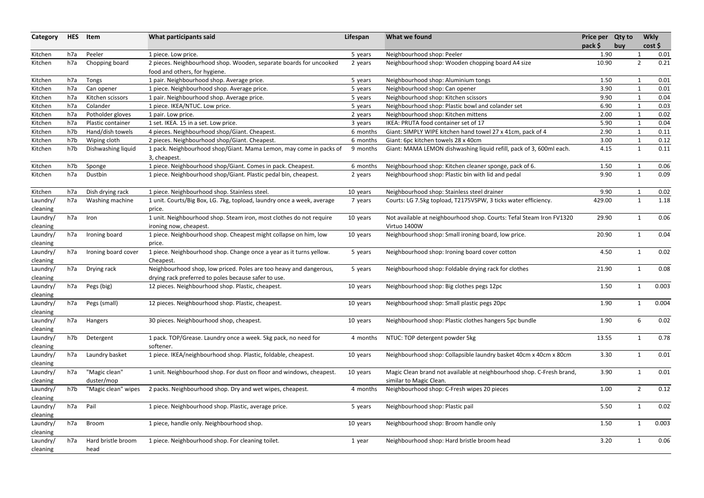| <b>HES</b> | Item                       | What participants said                                                                                                     | Lifespan                                                                                                                                  | What we found                                                                            |                                                                                                                                 |                                                                                  | <b>Wkly</b>                                                                                                                                                                                                                                                            |                                                                                                                                                                                                                                                                                                                                                                |
|------------|----------------------------|----------------------------------------------------------------------------------------------------------------------------|-------------------------------------------------------------------------------------------------------------------------------------------|------------------------------------------------------------------------------------------|---------------------------------------------------------------------------------------------------------------------------------|----------------------------------------------------------------------------------|------------------------------------------------------------------------------------------------------------------------------------------------------------------------------------------------------------------------------------------------------------------------|----------------------------------------------------------------------------------------------------------------------------------------------------------------------------------------------------------------------------------------------------------------------------------------------------------------------------------------------------------------|
|            |                            |                                                                                                                            |                                                                                                                                           |                                                                                          |                                                                                                                                 |                                                                                  |                                                                                                                                                                                                                                                                        | 0.01                                                                                                                                                                                                                                                                                                                                                           |
| h7a        | Chopping board             | 2 pieces. Neighbourhood shop. Wooden, separate boards for uncooked<br>food and others, for hygiene.                        | 2 years                                                                                                                                   | Neighbourhood shop: Wooden chopping board A4 size                                        |                                                                                                                                 |                                                                                  |                                                                                                                                                                                                                                                                        | 0.21                                                                                                                                                                                                                                                                                                                                                           |
| h7a        |                            | 1 pair. Neighbourhood shop. Average price.                                                                                 | 5 years                                                                                                                                   | Neighbourhood shop: Aluminium tongs                                                      |                                                                                                                                 |                                                                                  |                                                                                                                                                                                                                                                                        | 0.01                                                                                                                                                                                                                                                                                                                                                           |
| h7a        | Can opener                 |                                                                                                                            |                                                                                                                                           | Neighbourhood shop: Can opener                                                           |                                                                                                                                 |                                                                                  |                                                                                                                                                                                                                                                                        | 0.01                                                                                                                                                                                                                                                                                                                                                           |
| h7a        | Kitchen scissors           | 1 pair. Neighbourhood shop. Average price.                                                                                 | 5 years                                                                                                                                   | Neighbourhood shop: Kitchen scissors                                                     |                                                                                                                                 |                                                                                  |                                                                                                                                                                                                                                                                        | 0.04                                                                                                                                                                                                                                                                                                                                                           |
| h7a        | Colander                   | 1 piece. IKEA/NTUC. Low price.                                                                                             | 5 years                                                                                                                                   | Neighbourhood shop: Plastic bowl and colander set                                        |                                                                                                                                 |                                                                                  |                                                                                                                                                                                                                                                                        | 0.03                                                                                                                                                                                                                                                                                                                                                           |
| h7a        |                            |                                                                                                                            | 2 years                                                                                                                                   | Neighbourhood shop: Kitchen mittens                                                      |                                                                                                                                 |                                                                                  |                                                                                                                                                                                                                                                                        | 0.02                                                                                                                                                                                                                                                                                                                                                           |
| h7a        | Plastic container          | 1 set. IKEA. 15 in a set. Low price.                                                                                       | 3 years                                                                                                                                   | IKEA: PRUTA food container set of 17                                                     |                                                                                                                                 |                                                                                  |                                                                                                                                                                                                                                                                        | 0.04                                                                                                                                                                                                                                                                                                                                                           |
| h7b        | Hand/dish towels           | 4 pieces. Neighbourhood shop/Giant. Cheapest.                                                                              | 6 months                                                                                                                                  |                                                                                          |                                                                                                                                 |                                                                                  |                                                                                                                                                                                                                                                                        | 0.11                                                                                                                                                                                                                                                                                                                                                           |
| h7b        |                            |                                                                                                                            | 6 months                                                                                                                                  |                                                                                          |                                                                                                                                 |                                                                                  |                                                                                                                                                                                                                                                                        | 0.12                                                                                                                                                                                                                                                                                                                                                           |
| h7b        | Dishwashing liquid         | 3, cheapest.                                                                                                               | 9 months                                                                                                                                  | Giant: MAMA LEMON dishwashing liquid refill, pack of 3, 600ml each.                      |                                                                                                                                 |                                                                                  |                                                                                                                                                                                                                                                                        | 0.11                                                                                                                                                                                                                                                                                                                                                           |
| h7b        | Sponge                     | 1 piece. Neighbourhood shop/Giant. Comes in pack. Cheapest.                                                                | 6 months                                                                                                                                  | Neighbourhood shop: Kitchen cleaner sponge, pack of 6.                                   |                                                                                                                                 |                                                                                  |                                                                                                                                                                                                                                                                        | 0.06                                                                                                                                                                                                                                                                                                                                                           |
| h7a        | Dustbin                    | 1 piece. Neighbourhood shop/Giant. Plastic pedal bin, cheapest.                                                            | 2 years                                                                                                                                   | Neighbourhood shop: Plastic bin with lid and pedal                                       |                                                                                                                                 |                                                                                  |                                                                                                                                                                                                                                                                        | 0.09                                                                                                                                                                                                                                                                                                                                                           |
| h7a        | Dish drying rack           | 1 piece. Neighbourhood shop. Stainless steel.                                                                              | 10 years                                                                                                                                  | Neighbourhood shop: Stainless steel drainer                                              |                                                                                                                                 |                                                                                  |                                                                                                                                                                                                                                                                        | 0.02                                                                                                                                                                                                                                                                                                                                                           |
| h7a        | Washing machine            | 1 unit. Courts/Big Box, LG. 7kg, topload, laundry once a week, average<br>price.                                           | 7 years                                                                                                                                   | Courts: LG 7.5kg topload, T2175VSPW, 3 ticks water efficiency.                           |                                                                                                                                 |                                                                                  |                                                                                                                                                                                                                                                                        | 1.18                                                                                                                                                                                                                                                                                                                                                           |
| h7a        | Iron                       | 1 unit. Neighbourhood shop. Steam iron, most clothes do not require<br>ironing now, cheapest.                              | 10 years                                                                                                                                  | Not available at neighbourhood shop. Courts: Tefal Steam Iron FV1320<br>Virtuo 1400W     |                                                                                                                                 |                                                                                  |                                                                                                                                                                                                                                                                        | 0.06                                                                                                                                                                                                                                                                                                                                                           |
| h7a        | Ironing board              | 1 piece. Neighbourhood shop. Cheapest might collapse on him, low<br>price.                                                 | 10 years                                                                                                                                  | Neighbourhood shop: Small ironing board, low price.                                      |                                                                                                                                 |                                                                                  |                                                                                                                                                                                                                                                                        | 0.04                                                                                                                                                                                                                                                                                                                                                           |
| h7a        | Ironing board cover        | 1 piece. Neighbourhood shop. Change once a year as it turns yellow.<br>Cheapest.                                           | 5 years                                                                                                                                   | Neighbourhood shop: Ironing board cover cotton                                           |                                                                                                                                 |                                                                                  |                                                                                                                                                                                                                                                                        | 0.02                                                                                                                                                                                                                                                                                                                                                           |
| h7a        | Drying rack                | Neighbourhood shop, low priced. Poles are too heavy and dangerous,<br>drying rack preferred to poles because safer to use. | 5 years                                                                                                                                   | Neighbourhood shop: Foldable drying rack for clothes                                     |                                                                                                                                 |                                                                                  |                                                                                                                                                                                                                                                                        | 0.08                                                                                                                                                                                                                                                                                                                                                           |
| h7a        | Pegs (big)                 | 12 pieces. Neighbourhood shop. Plastic, cheapest.                                                                          | 10 years                                                                                                                                  | Neighbourhood shop: Big clothes pegs 12pc                                                |                                                                                                                                 |                                                                                  |                                                                                                                                                                                                                                                                        | 0.003                                                                                                                                                                                                                                                                                                                                                          |
| h7a        | Pegs (small)               | 12 pieces. Neighbourhood shop. Plastic, cheapest.                                                                          | 10 years                                                                                                                                  | Neighbourhood shop: Small plastic pegs 20pc                                              |                                                                                                                                 |                                                                                  |                                                                                                                                                                                                                                                                        | 0.004                                                                                                                                                                                                                                                                                                                                                          |
| h7a        | Hangers                    | 30 pieces. Neighbourhood shop, cheapest.                                                                                   | 10 years                                                                                                                                  | Neighbourhood shop: Plastic clothes hangers 5pc bundle                                   |                                                                                                                                 |                                                                                  |                                                                                                                                                                                                                                                                        | 0.02                                                                                                                                                                                                                                                                                                                                                           |
| h7b        | Detergent                  | 1 pack. TOP/Grease. Laundry once a week. 5kg pack, no need for<br>softener.                                                | 4 months                                                                                                                                  | NTUC: TOP detergent powder 5kg                                                           |                                                                                                                                 |                                                                                  |                                                                                                                                                                                                                                                                        | 0.78                                                                                                                                                                                                                                                                                                                                                           |
| h7a        | Laundry basket             | 1 piece. IKEA/neighbourhood shop. Plastic, foldable, cheapest.                                                             | 10 years                                                                                                                                  | Neighbourhood shop: Collapsible laundry basket 40cm x 40cm x 80cm                        |                                                                                                                                 |                                                                                  |                                                                                                                                                                                                                                                                        | 0.01                                                                                                                                                                                                                                                                                                                                                           |
| h7a        | "Magic clean"              | 1 unit. Neighbourhood shop. For dust on floor and windows, cheapest.                                                       | 10 years                                                                                                                                  |                                                                                          |                                                                                                                                 |                                                                                  |                                                                                                                                                                                                                                                                        | 0.01                                                                                                                                                                                                                                                                                                                                                           |
|            | duster/mop                 |                                                                                                                            |                                                                                                                                           | similar to Magic Clean.                                                                  |                                                                                                                                 |                                                                                  |                                                                                                                                                                                                                                                                        |                                                                                                                                                                                                                                                                                                                                                                |
| h7b        | "Magic clean" wipes        | 2 packs. Neighbourhood shop. Dry and wet wipes, cheapest.                                                                  | 4 months                                                                                                                                  | Neighbourhood shop: C-Fresh wipes 20 pieces                                              |                                                                                                                                 |                                                                                  |                                                                                                                                                                                                                                                                        | 0.12                                                                                                                                                                                                                                                                                                                                                           |
| h7a        | Pail                       | 1 piece. Neighbourhood shop. Plastic, average price.                                                                       | 5 years                                                                                                                                   | Neighbourhood shop: Plastic pail                                                         |                                                                                                                                 |                                                                                  |                                                                                                                                                                                                                                                                        | 0.02                                                                                                                                                                                                                                                                                                                                                           |
| h7a        | Broom                      | 1 piece, handle only. Neighbourhood shop.                                                                                  | 10 years                                                                                                                                  | Neighbourhood shop: Broom handle only                                                    |                                                                                                                                 |                                                                                  |                                                                                                                                                                                                                                                                        | 0.003                                                                                                                                                                                                                                                                                                                                                          |
| h7a        | Hard bristle broom<br>head | 1 piece. Neighbourhood shop. For cleaning toilet.                                                                          | 1 year                                                                                                                                    | Neighbourhood shop: Hard bristle broom head                                              |                                                                                                                                 |                                                                                  |                                                                                                                                                                                                                                                                        | 0.06                                                                                                                                                                                                                                                                                                                                                           |
|            | h7a                        | Peeler<br>Tongs<br>Potholder gloves<br>Wiping cloth                                                                        | 1 piece. Low price.<br>1 piece. Neighbourhood shop. Average price.<br>1 pair. Low price.<br>2 pieces. Neighbourhood shop/Giant. Cheapest. | 5 years<br>5 years<br>1 pack. Neighbourhood shop/Giant. Mama Lemon, may come in packs of | Neighbourhood shop: Peeler<br>Giant: SIMPLY WIPE kitchen hand towel 27 x 41cm, pack of 4<br>Giant: 6pc kitchen towels 28 x 40cm | pack \$<br>Magic Clean brand not available at neighbourhood shop. C-Fresh brand, | Price per Qty to<br>buy<br>1.90<br>10.90<br>1.50<br>3.90<br>9.90<br>6.90<br>2.00<br>5.90<br>2.90<br>3.00<br>4.15<br>1.50<br>9.90<br>9.90<br>429.00<br>29.90<br>20.90<br>4.50<br>21.90<br>1.50<br>1.90<br>1.90<br>13.55<br>3.30<br>3.90<br>1.00<br>5.50<br>1.50<br>3.20 | cost<br>$\overline{2}$<br>$\mathbf{1}$<br>$\mathbf{1}$<br>$\mathbf{1}$<br>$\mathbf{1}$<br>$\mathbf{1}$<br>1<br>1<br>1<br>$\mathbf{1}$<br>$\mathbf{1}$<br>$\mathbf{1}$<br>$\mathbf{1}$<br>$\mathbf{1}$<br>1<br>$\mathbf{1}$<br>$\mathbf{1}$<br>6<br>$\mathbf{1}$<br>$\mathbf 1$<br>$\mathbf 1$<br>$\overline{2}$<br>$\mathbf{1}$<br>$\mathbf{1}$<br>$\mathbf 1$ |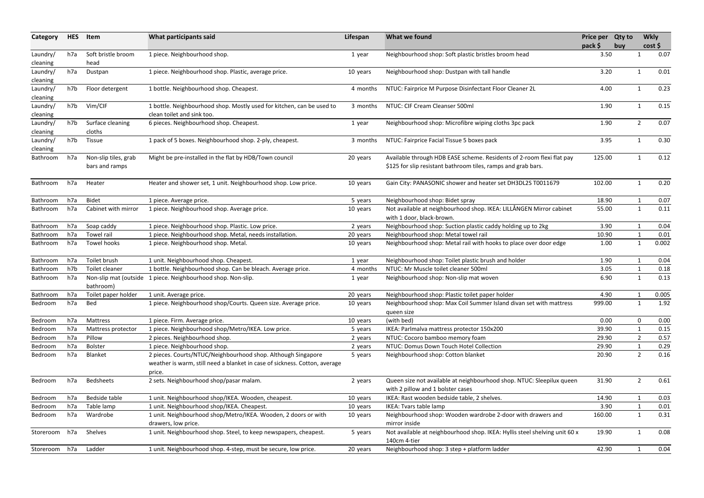| Category             | <b>HES</b> | Item                                   | What participants said                                                                                                                               | Lifespan | What we found                                                                                                                          | Price per Qty to<br>pack \$ | buy |                | <b>Wkly</b><br>cost |
|----------------------|------------|----------------------------------------|------------------------------------------------------------------------------------------------------------------------------------------------------|----------|----------------------------------------------------------------------------------------------------------------------------------------|-----------------------------|-----|----------------|---------------------|
| Laundry/<br>cleaning | h7a        | Soft bristle broom<br>head             | 1 piece. Neighbourhood shop.                                                                                                                         | 1 year   | Neighbourhood shop: Soft plastic bristles broom head                                                                                   | 3.50                        |     | -1             | 0.07                |
| Laundry/<br>cleaning | h7a        | Dustpan                                | 1 piece. Neighbourhood shop. Plastic, average price.                                                                                                 | 10 years | Neighbourhood shop: Dustpan with tall handle                                                                                           | 3.20                        |     | $\mathbf{1}$   | 0.01                |
| Laundry/<br>cleaning | h7b        | Floor detergent                        | 1 bottle. Neighbourhood shop. Cheapest.                                                                                                              | 4 months | NTUC: Fairprice M Purpose Disinfectant Floor Cleaner 2L                                                                                | 4.00                        |     | $\mathbf{1}$   | 0.23                |
| Laundry/<br>cleaning | h7b        | Vim/CIF                                | 1 bottle. Neighbourhood shop. Mostly used for kitchen, can be used to<br>clean toilet and sink too.                                                  | 3 months | NTUC: CIF Cream Cleanser 500ml                                                                                                         | 1.90                        |     | 1              | 0.15                |
| Laundry/<br>cleaning | h7b        | Surface cleaning<br>cloths             | 6 pieces. Neighbourhood shop. Cheapest.                                                                                                              | 1 year   | Neighbourhood shop: Microfibre wiping cloths 3pc pack                                                                                  | 1.90                        |     | $\overline{2}$ | 0.07                |
| Laundry/<br>cleaning | h7b        | Tissue                                 | 1 pack of 5 boxes. Neighbourhood shop. 2-ply, cheapest.                                                                                              | 3 months | NTUC: Fairprice Facial Tissue 5 boxes pack                                                                                             | 3.95                        |     | $\mathbf{1}$   | 0.30                |
| Bathroom             | h7a        | Non-slip tiles, grab<br>bars and ramps | Might be pre-installed in the flat by HDB/Town council                                                                                               | 20 years | Available through HDB EASE scheme. Residents of 2-room flexi flat pay<br>\$125 for slip resistant bathroom tiles, ramps and grab bars. | 125.00                      |     |                | 0.12                |
| <b>Bathroom</b>      | h7a        | Heater                                 | Heater and shower set, 1 unit. Neighbourhood shop. Low price.                                                                                        | 10 years | Gain City: PANASONIC shower and heater set DH3DL2S T0011679                                                                            | 102.00                      |     | $\mathbf 1$    | 0.20                |
| Bathroom             | h7a        | <b>Bidet</b>                           | 1 piece. Average price.                                                                                                                              | 5 years  | Neighbourhood shop: Bidet spray                                                                                                        | 18.90                       |     | 1              | 0.07                |
| Bathroom             | h7a        | Cabinet with mirror                    | 1 piece. Neighbourhood shop. Average price.                                                                                                          | 10 years | Not available at neighbourhood shop. IKEA: LILLÅNGEN Mirror cabinet<br>with 1 door, black-brown.                                       | 55.00                       |     | $\mathbf{1}$   | 0.11                |
| Bathroom             | h7a        | Soap caddy                             | 1 piece. Neighbourhood shop. Plastic. Low price.                                                                                                     | 2 years  | Neighbourhood shop: Suction plastic caddy holding up to 2kg                                                                            | 3.90                        |     | $\mathbf 1$    | 0.04                |
| Bathroom             | h7a        | Towel rail                             | 1 piece. Neighbourhood shop. Metal, needs installation.                                                                                              | 20 years | Neighbourhood shop: Metal towel rail                                                                                                   | 10.90                       |     | $\mathbf{1}$   | 0.01                |
| <b>Bathroom</b>      | h7a        | <b>Towel hooks</b>                     | 1 piece. Neighbourhood shop. Metal.                                                                                                                  | 10 years | Neighbourhood shop: Metal rail with hooks to place over door edge                                                                      | 1.00                        |     | 1              | 0.002               |
| Bathroom             | h7a        | Toilet brush                           | 1 unit. Neighbourhood shop. Cheapest.                                                                                                                | 1 year   | Neighbourhood shop: Toilet plastic brush and holder                                                                                    | 1.90                        |     | $\mathbf 1$    | 0.04                |
| Bathroom             | h7b        | Toilet cleaner                         | 1 bottle. Neighbourhood shop. Can be bleach. Average price.                                                                                          | 4 months | NTUC: Mr Muscle toilet cleaner 500ml                                                                                                   | 3.05                        |     | 1              | 0.18                |
| Bathroom             | h7a        | Non-slip mat (outside<br>bathroom)     | 1 piece. Neighbourhood shop. Non-slip.                                                                                                               | 1 year   | Neighbourhood shop: Non-slip mat woven                                                                                                 | 6.90                        |     | $\mathbf{1}$   | 0.13                |
| Bathroom             | h7a        | Toilet paper holder                    | 1 unit. Average price.                                                                                                                               | 20 years | Neighbourhood shop: Plastic toilet paper holder                                                                                        | 4.90                        |     |                | 0.005               |
| <b>Bedroom</b>       | h7a        | Bed                                    | 1 piece. Neighbourhood shop/Courts. Queen size. Average price.                                                                                       | 10 years | Neighbourhood shop: Max Coil Summer Island divan set with mattress<br>queen size                                                       | 999.00                      |     | 1              | 1.92                |
| Bedroom              | h7a        | Mattress                               | 1 piece. Firm. Average price.                                                                                                                        | 10 years | (with bed)                                                                                                                             | 0.00                        |     | $\Omega$       | 0.00                |
| Bedroom              | h7a        | Mattress protector                     | 1 piece. Neighbourhood shop/Metro/IKEA. Low price.                                                                                                   | 5 years  | IKEA: Parlmalva mattress protector 150x200                                                                                             | 39.90                       |     |                | 0.15                |
| Bedroom              | h7a        | Pillow                                 | 2 pieces. Neighbourhood shop.                                                                                                                        | 2 years  | NTUC: Cocoro bamboo memory foam                                                                                                        | 29.90                       |     |                | 0.57                |
| Bedroom              | h7a        | <b>Bolster</b>                         | 1 piece. Neighbourhood shop.                                                                                                                         | 2 years  | NTUC: Domus Down Touch Hotel Collection                                                                                                | 29.90                       |     |                | 0.29                |
| Bedroom              | h7a        | Blanket                                | 2 pieces. Courts/NTUC/Neighbourhood shop. Although Singapore<br>weather is warm, still need a blanket in case of sickness. Cotton, average<br>price. | 5 years  | Neighbourhood shop: Cotton blanket                                                                                                     | 20.90                       |     | 2              | 0.16                |
| Bedroom              | h7a        | Bedsheets                              | 2 sets. Neighbourhood shop/pasar malam.                                                                                                              | 2 years  | Queen size not available at neighbourhood shop. NTUC: Sleepilux queen<br>with 2 pillow and 1 bolster cases                             | 31.90                       |     | 2              | 0.61                |
| Bedroom              | h7a        | Bedside table                          | 1 unit. Neighbourhood shop/IKEA. Wooden, cheapest.                                                                                                   | 10 years | IKEA: Rast wooden bedside table, 2 shelves.                                                                                            | 14.90                       |     |                | 0.03                |
| Bedroom              | h7a        | Table lamp                             | 1 unit. Neighbourhood shop/IKEA. Cheapest.                                                                                                           | 10 years | IKEA: Tvars table lamp                                                                                                                 | 3.90                        |     |                | 0.01                |
| Bedroom              | h7a        | Wardrobe                               | 1 unit. Neighbourhood shop/Metro/IKEA. Wooden, 2 doors or with<br>drawers, low price.                                                                | 10 years | Neighbourhood shop: Wooden wardrobe 2-door with drawers and<br>mirror inside                                                           | 160.00                      |     | 1              | 0.31                |
| Storeroom h7a        |            | Shelves                                | 1 unit. Neighbourhood shop. Steel, to keep newspapers, cheapest.                                                                                     | 5 years  | Not available at neighbourhood shop. IKEA: Hyllis steel shelving unit 60 x<br>140cm 4-tier                                             | 19.90                       |     | 1              | 0.08                |
| Storeroom h7a        |            | Ladder                                 | 1 unit. Neighbourhood shop. 4-step, must be secure, low price.                                                                                       | 20 years | Neighbourhood shop: 3 step + platform ladder                                                                                           | 42.90                       |     |                | 0.04                |
|                      |            |                                        |                                                                                                                                                      |          |                                                                                                                                        |                             |     |                |                     |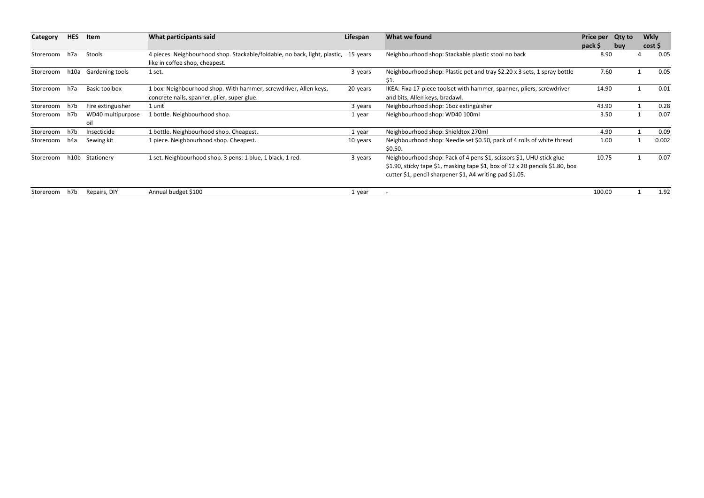| Category  | <b>HES</b> | Item                 | What participants said                                                              | Lifespan | What we found                                                                 | <b>Price per</b> | <b>Qty to</b> | <b>Wkly</b> |       |
|-----------|------------|----------------------|-------------------------------------------------------------------------------------|----------|-------------------------------------------------------------------------------|------------------|---------------|-------------|-------|
|           |            |                      |                                                                                     |          |                                                                               | pack \$          | buv           | cost        |       |
| Storeroom | h7a        | Stools               | 4 pieces. Neighbourhood shop. Stackable/foldable, no back, light, plastic, 15 years |          | Neighbourhood shop: Stackable plastic stool no back                           | 8.90             |               |             | 0.05  |
|           |            |                      | like in coffee shop, cheapest.                                                      |          |                                                                               |                  |               |             |       |
| Storeroom | h10a       | Gardening tools      | 1 set.                                                                              | 3 years  | Neighbourhood shop: Plastic pot and tray \$2.20 x 3 sets, 1 spray bottle      | 7.60             |               |             | 0.05  |
|           |            |                      |                                                                                     |          | \$1.                                                                          |                  |               |             |       |
| Storeroom | h7a        | <b>Basic toolbox</b> | 1 box. Neighbourhood shop. With hammer, screwdriver, Allen keys,                    | 20 years | IKEA: Fixa 17-piece toolset with hammer, spanner, pliers, screwdriver         | 14.90            |               |             | 0.01  |
|           |            |                      | concrete nails, spanner, plier, super glue.                                         |          | and bits, Allen keys, bradawl.                                                |                  |               |             |       |
| Storeroom | h7b        | Fire extinguisher    | 1 unit                                                                              | 3 years  | Neighbourhood shop: 160z extinguisher                                         | 43.90            |               |             | 0.28  |
| Storeroom | h7b        | WD40 multipurpose    | 1 bottle. Neighbourhood shop.                                                       | 1 year   | Neighbourhood shop: WD40 100ml                                                | 3.50             |               |             | 0.07  |
|           |            | oil                  |                                                                                     |          |                                                                               |                  |               |             |       |
| Storeroom | h7b        | Insecticide          | 1 bottle. Neighbourhood shop. Cheapest.                                             | 1 year   | Neighbourhood shop: Shieldtox 270ml                                           | 4.90             |               |             | 0.09  |
| Storeroom | h4a        | Sewing kit           | 1 piece. Neighbourhood shop. Cheapest.                                              | 10 years | Neighbourhood shop: Needle set \$0.50, pack of 4 rolls of white thread        | 1.00             |               |             | 0.002 |
|           |            |                      |                                                                                     |          | \$0.50.                                                                       |                  |               |             |       |
| Storeroom |            | h10b Stationery      | 1 set. Neighbourhood shop. 3 pens: 1 blue, 1 black, 1 red.                          | 3 years  | Neighbourhood shop: Pack of 4 pens \$1, scissors \$1, UHU stick glue          | 10.75            |               |             | 0.07  |
|           |            |                      |                                                                                     |          | \$1.90, sticky tape \$1, masking tape \$1, box of 12 x 2B pencils \$1.80, box |                  |               |             |       |
|           |            |                      |                                                                                     |          | cutter \$1, pencil sharpener \$1, A4 writing pad \$1.05.                      |                  |               |             |       |
| Storeroom | h7b        | Repairs, DIY         | Annual budget \$100                                                                 | 1 year   |                                                                               | 100.00           |               |             | 1.92  |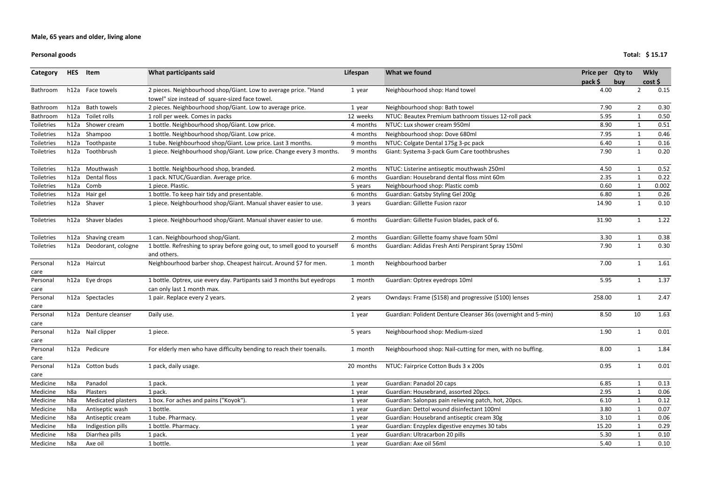#### **Personal goods**

#### **Total: \$ 15.17**

| Category          | <b>HES</b> | Item                    | What participants said                                                                                             | Lifespan  | What we found                                                 | Price per Qty to |     | <b>Wkly</b>  |       |
|-------------------|------------|-------------------------|--------------------------------------------------------------------------------------------------------------------|-----------|---------------------------------------------------------------|------------------|-----|--------------|-------|
|                   |            |                         |                                                                                                                    |           |                                                               | pack \$          | buy |              | cost  |
| Bathroom          |            | h12a Face towels        | 2 pieces. Neighbourhood shop/Giant. Low to average price. "Hand<br>towel" size instead of square-sized face towel. | 1 year    | Neighbourhood shop: Hand towel                                | 4.00             |     | 2            | 0.15  |
| Bathroom          | h12a       | <b>Bath towels</b>      | 2 pieces. Neighbourhood shop/Giant. Low to average price.                                                          | 1 year    | Neighbourhood shop: Bath towel                                | 7.90             |     | 2            | 0.30  |
| Bathroom          | h12a       | Toilet rolls            | 1 roll per week. Comes in packs                                                                                    | 12 weeks  | NTUC: Beautex Premium bathroom tissues 12-roll pack           | 5.95             |     | 1            | 0.50  |
| <b>Toiletries</b> | h12a       | Shower cream            | 1 bottle. Neighbourhood shop/Giant. Low price.                                                                     | 4 months  | NTUC: Lux shower cream 950ml                                  | 8.90             |     | 1            | 0.51  |
| <b>Toiletries</b> |            | h12a Shampoo            | 1 bottle. Neighbourhood shop/Giant. Low price.                                                                     | 4 months  | Neighbourhood shop: Dove 680ml                                | 7.95             |     | 1            | 0.46  |
| <b>Toiletries</b> | h12a       | Toothpaste              | 1 tube. Neighbourhood shop/Giant. Low price. Last 3 months.                                                        | 9 months  | NTUC: Colgate Dental 175g 3-pc pack                           | 6.40             |     | $\mathbf 1$  | 0.16  |
| <b>Toiletries</b> |            | h12a Toothbrush         | 1 piece. Neighbourhood shop/Giant. Low price. Change every 3 months.                                               | 9 months  | Giant: Systema 3-pack Gum Care toothbrushes                   | 7.90             |     | $\mathbf{1}$ | 0.20  |
| <b>Toiletries</b> | h12a       | Mouthwash               | 1 bottle. Neighbourhood shop, branded.                                                                             | 2 months  | NTUC: Listerine antiseptic mouthwash 250ml                    | 4.50             |     |              | 0.52  |
| Toiletries        | h12a       | Dental floss            | 1 pack. NTUC/Guardian. Average price.                                                                              | 6 months  | Guardian: Housebrand dental floss mint 60m                    | 2.35             |     | $\mathbf 1$  | 0.22  |
| Toiletries        | h12a       | Comb                    | 1 piece. Plastic.                                                                                                  | 5 years   | Neighbourhood shop: Plastic comb                              | 0.60             |     |              | 0.002 |
| Toiletries        | h12a       | Hair gel                | 1 bottle. To keep hair tidy and presentable.                                                                       | 6 months  | Guardian: Gatsby Styling Gel 200g                             | 6.80             |     |              | 0.26  |
| <b>Toiletries</b> |            | h12a Shaver             | 1 piece. Neighbourhood shop/Giant. Manual shaver easier to use.                                                    | 3 years   | Guardian: Gillette Fusion razor                               | 14.90            |     | 1            | 0.10  |
| Toiletries        |            | h12a Shaver blades      | 1 piece. Neighbourhood shop/Giant. Manual shaver easier to use.                                                    | 6 months  | Guardian: Gillette Fusion blades, pack of 6.                  | 31.90            |     | $\mathbf 1$  | 1.22  |
| Toiletries        | h12a       | Shaving cream           | 1 can. Neighbourhood shop/Giant.                                                                                   | 2 months  | Guardian: Gillette foamy shave foam 50ml                      | 3.30             |     | 1            | 0.38  |
| Toiletries        |            | h12a Deodorant, cologne | 1 bottle. Refreshing to spray before going out, to smell good to yourself<br>and others.                           | 6 months  | Guardian: Adidas Fresh Anti Perspirant Spray 150ml            | 7.90             |     | $\mathbf{1}$ | 0.30  |
| Personal<br>care  |            | h12a Haircut            | Neighbourhood barber shop. Cheapest haircut. Around \$7 for men.                                                   | 1 month   | Neighbourhood barber                                          | 7.00             |     | 1            | 1.61  |
| Personal          |            | h12a Eye drops          | 1 bottle. Optrex, use every day. Partipants said 3 months but eyedrops                                             | 1 month   | Guardian: Optrex eyedrops 10ml                                | 5.95             |     | $\mathbf{1}$ | 1.37  |
| care              |            |                         | can only last 1 month max.                                                                                         |           |                                                               |                  |     |              |       |
| Personal<br>care  |            | h12a Spectacles         | 1 pair. Replace every 2 years.                                                                                     | 2 years   | Owndays: Frame (\$158) and progressive (\$100) lenses         | 258.00           |     | 1            | 2.47  |
| Personal          |            | h12a Denture cleanser   | Daily use.                                                                                                         | 1 year    | Guardian: Polident Denture Cleanser 36s (overnight and 5-min) | 8.50             |     | 10           | 1.63  |
| care<br>Personal  |            | h12a Nail clipper       | 1 piece.                                                                                                           | 5 years   | Neighbourhood shop: Medium-sized                              | 1.90             |     |              | 0.01  |
| care              |            |                         |                                                                                                                    |           |                                                               |                  |     |              |       |
| Personal          |            | h12a Pedicure           | For elderly men who have difficulty bending to reach their toenails.                                               | 1 month   | Neighbourhood shop: Nail-cutting for men, with no buffing.    | 8.00             |     | $\mathbf{1}$ | 1.84  |
| care              |            |                         |                                                                                                                    |           |                                                               |                  |     |              |       |
| Personal          |            | h12a Cotton buds        | 1 pack, daily usage.                                                                                               | 20 months | NTUC: Fairprice Cotton Buds 3 x 200s                          | 0.95             |     | 1            | 0.01  |
| care              |            |                         |                                                                                                                    |           |                                                               |                  |     |              |       |
| Medicine          | h8a        | Panadol                 | 1 pack.                                                                                                            | 1 year    | Guardian: Panadol 20 caps                                     | 6.85             |     | 1            | 0.13  |
| Medicine          | h8a        | Plasters                | 1 pack.                                                                                                            | 1 year    | Guardian: Housebrand, assorted 20pcs.                         | 2.95             |     |              | 0.06  |
| Medicine          | h8a        | Medicated plasters      | 1 box. For aches and pains ("Koyok").                                                                              | 1 year    | Guardian: Salonpas pain relieving patch, hot, 20pcs.          | 6.10             |     |              | 0.12  |
| Medicine          | h8a        | Antiseptic wash         | 1 bottle.                                                                                                          | 1 year    | Guardian: Dettol wound disinfectant 100ml                     | 3.80             |     |              | 0.07  |
| Medicine          | h8a        | Antiseptic cream        | 1 tube. Pharmacy.                                                                                                  | 1 year    | Guardian: Housebrand antiseptic cream 30g                     | 3.10             |     |              | 0.06  |
| Medicine          | h8a        | Indigestion pills       | 1 bottle. Pharmacy.                                                                                                | 1 year    | Guardian: Enzyplex digestive enzymes 30 tabs                  | 15.20            |     |              | 0.29  |
| Medicine          | h8a        | Diarrhea pills          | 1 pack.                                                                                                            | 1 year    | Guardian: Ultracarbon 20 pills                                | 5.30             |     |              | 0.10  |
| Medicine          | h8a        | Axe oil                 | 1 bottle.                                                                                                          | 1 year    | Guardian: Axe oil 56ml                                        | 5.40             |     | $\mathbf{1}$ | 0.10  |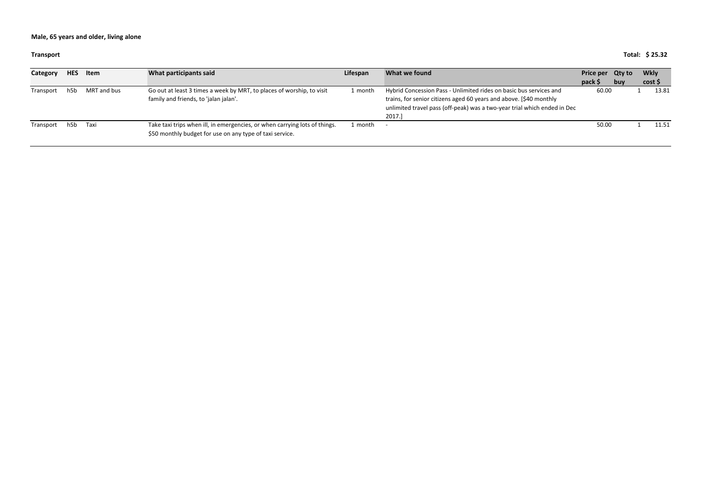#### **Transport**

### **Total: \$ 25.32**

| Category  | <b>HES</b> | Item        | What participants said                                                                                                                 | Lifespan | What we found                                                                                                                                                                                                                  | Price per Qty to |     | Wkly  |
|-----------|------------|-------------|----------------------------------------------------------------------------------------------------------------------------------------|----------|--------------------------------------------------------------------------------------------------------------------------------------------------------------------------------------------------------------------------------|------------------|-----|-------|
|           |            |             |                                                                                                                                        |          |                                                                                                                                                                                                                                | pack \$          | buy | cost  |
| Transport | h5h        | MRT and bus | Go out at least 3 times a week by MRT, to places of worship, to visit<br>family and friends, to 'jalan jalan'.                         | 1 month  | Hybrid Concession Pass - Unlimited rides on basic bus services and<br>trains, for senior citizens aged 60 years and above. [\$40 monthly<br>unlimited travel pass (off-peak) was a two-year trial which ended in Dec<br>2017.] | 60.00            |     | 13.81 |
| Transport | h5b        | Taxi        | Take taxi trips when ill, in emergencies, or when carrying lots of things.<br>\$50 monthly budget for use on any type of taxi service. | 1 month  |                                                                                                                                                                                                                                | 50.00            |     | 11.51 |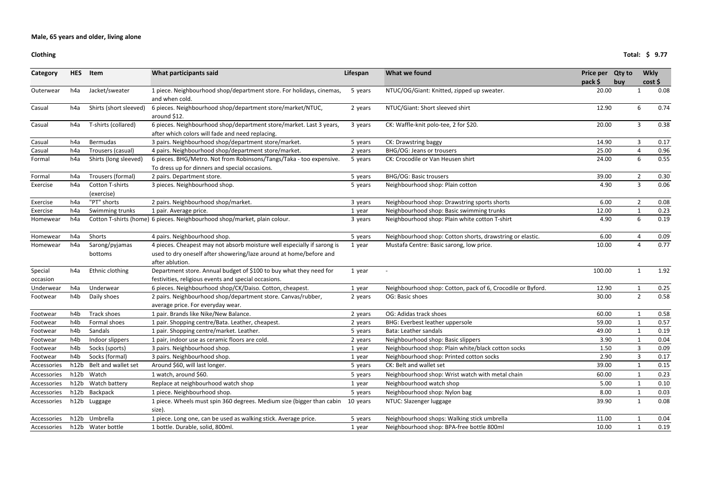### **Clothing**

## **Total: \$ 9.77**

| <b>Category</b>     | <b>HES</b>       | Item                          | What participants said                                                                                                                                           | Lifespan | What we found                                               | Price per Qty to<br>pack \$ | buy | <b>Wkly</b><br>cost |      |
|---------------------|------------------|-------------------------------|------------------------------------------------------------------------------------------------------------------------------------------------------------------|----------|-------------------------------------------------------------|-----------------------------|-----|---------------------|------|
| Outerwear           | h4a              | Jacket/sweater                | 1 piece. Neighbourhood shop/department store. For holidays, cinemas,<br>and when cold.                                                                           | 5 years  | NTUC/OG/Giant: Knitted, zipped up sweater.                  | 20.00                       |     | 1                   | 0.08 |
| Casual              | h4a              | Shirts (short sleeved)        | 6 pieces. Neighbourhood shop/department store/market/NTUC,<br>around \$12.                                                                                       | 2 years  | NTUC/Giant: Short sleeved shirt                             | 12.90                       |     | 6                   | 0.74 |
| Casual              | h4a              | T-shirts (collared)           | 6 pieces. Neighbourhood shop/department store/market. Last 3 years,<br>after which colors will fade and need replacing.                                          | 3 years  | CK: Waffle-knit polo-tee, 2 for \$20.                       | 20.00                       |     | 3                   | 0.38 |
| Casual              | h4a              | <b>Bermudas</b>               | 3 pairs. Neighbourhood shop/department store/market.                                                                                                             | 5 years  | CK: Drawstring baggy                                        | 14.90                       |     | 3                   | 0.17 |
| Casual              | h <sub>4</sub> a | Trousers (casual)             | 4 pairs. Neighbourhood shop/department store/market.                                                                                                             | 2 years  | BHG/OG: Jeans or trousers                                   | 25.00                       |     |                     | 0.96 |
| Formal              | h4a              | Shirts (long sleeved)         | 6 pieces. BHG/Metro. Not from Robinsons/Tangs/Taka - too expensive.<br>To dress up for dinners and special occasions.                                            | 5 years  | CK: Crocodile or Van Heusen shirt                           | 24.00                       |     | 6                   | 0.55 |
| Formal              | h4a              | Trousers (formal)             | 2 pairs. Department store.                                                                                                                                       | 5 years  | <b>BHG/OG: Basic trousers</b>                               | 39.00                       |     | 2                   | 0.30 |
| Exercise            | h4a              | Cotton T-shirts<br>(exercise) | 3 pieces. Neighbourhood shop.                                                                                                                                    | 5 years  | Neighbourhood shop: Plain cotton                            | 4.90                        |     | $\mathbf{3}$        | 0.06 |
| Exercise            | h <sub>4</sub> a | "PT" shorts                   | 2 pairs. Neighbourhood shop/market.                                                                                                                              | 3 years  | Neighbourhood shop: Drawstring sports shorts                | 6.00                        |     | $\overline{2}$      | 0.08 |
| Exercise            | h4a              | Swimming trunks               | 1 pair. Average price.                                                                                                                                           | 1 year   | Neighbourhood shop: Basic swimming trunks                   | 12.00                       |     |                     | 0.23 |
| Homewear            | h4a              |                               | Cotton T-shirts (home) 6 pieces. Neighbourhood shop/market, plain colour.                                                                                        | 3 years  | Neighbourhood shop: Plain white cotton T-shirt              | 4.90                        |     | 6                   | 0.19 |
| Homewear            | h4a              | Shorts                        | 4 pairs. Neighbourhood shop.                                                                                                                                     | 5 years  | Neighbourhood shop: Cotton shorts, drawstring or elastic.   | 6.00                        |     | 4                   | 0.09 |
| Homewear            | h4a              | Sarong/pyjamas<br>bottoms     | 4 pieces. Cheapest may not absorb moisture well especially if sarong is<br>used to dry oneself after showering/laze around at home/before and<br>after ablution. | 1 year   | Mustafa Centre: Basic sarong, low price.                    | 10.00                       |     | Δ                   | 0.77 |
| Special<br>occasion | h4a              | Ethnic clothing               | Department store. Annual budget of \$100 to buy what they need for<br>festivities, religious events and special occasions.                                       | 1 year   |                                                             | 100.00                      |     | 1                   | 1.92 |
| Underwear           | h <sub>4</sub> a | Underwear                     | 6 pieces. Neighbourhood shop/CK/Daiso. Cotton, cheapest.                                                                                                         | 1 year   | Neighbourhood shop: Cotton, pack of 6, Crocodile or Byford. | 12.90                       |     |                     | 0.25 |
| Footwear            | h4b              | Daily shoes                   | 2 pairs. Neighbourhood shop/department store. Canvas/rubber,<br>average price. For everyday wear.                                                                | 2 years  | OG: Basic shoes                                             | 30.00                       |     | $2^{\circ}$         | 0.58 |
| Footwear            | h4b              | Track shoes                   | 1 pair. Brands like Nike/New Balance.                                                                                                                            | 2 years  | OG: Adidas track shoes                                      | 60.00                       |     |                     | 0.58 |
| Footwear            | h4b              | Formal shoes                  | 1 pair. Shopping centre/Bata. Leather, cheapest.                                                                                                                 | 2 years  | <b>BHG: Everbest leather uppersole</b>                      | 59.00                       |     | $\mathbf{1}$        | 0.57 |
| Footwear            | h4b              | Sandals                       | 1 pair. Shopping centre/market. Leather.                                                                                                                         | 5 years  | Bata: Leather sandals                                       | 49.00                       |     |                     | 0.19 |
| Footwear            | h4b              | Indoor slippers               | 1 pair, indoor use as ceramic floors are cold.                                                                                                                   | 2 years  | Neighbourhood shop: Basic slippers                          | 3.90                        |     | 1                   | 0.04 |
| Footwear            | h4b              | Socks (sports)                | 3 pairs. Neighbourhood shop.                                                                                                                                     | 1 year   | Neighbourhood shop: Plain white/black cotton socks          | 1.50                        |     | 3                   | 0.09 |
| Footwear            | h4b              | Socks (formal)                | 3 pairs. Neighbourhood shop.                                                                                                                                     | 1 year   | Neighbourhood shop: Printed cotton socks                    | 2.90                        |     | 3                   | 0.17 |
| Accessories         | h12b             | Belt and wallet set           | Around \$60, will last longer.                                                                                                                                   | 5 years  | CK: Belt and wallet set                                     | 39.00                       |     | $\mathbf{1}$        | 0.15 |
| Accessories         | h12b             | Watch                         | 1 watch, around \$60.                                                                                                                                            | 5 years  | Neighbourhood shop: Wrist watch with metal chain            | 60.00                       |     |                     | 0.23 |
| Accessories         | h12b             | Watch battery                 | Replace at neighbourhood watch shop                                                                                                                              | 1 year   | Neighbourhood watch shop                                    | 5.00                        |     | $\mathbf{1}$        | 0.10 |
| Accessories         |                  | h12b Backpack                 | 1 piece. Neighbourhood shop.                                                                                                                                     | 5 years  | Neighbourhood shop: Nylon bag                               | 8.00                        |     | 1                   | 0.03 |
| Accessories         | h12b             | Luggage                       | 1 piece. Wheels must spin 360 degrees. Medium size (bigger than cabin<br>size).                                                                                  | 10 years | NTUC: Slazenger luggage                                     | 39.90                       |     | $\mathbf{1}$        | 0.08 |
| Accessories         |                  | h12b Umbrella                 | 1 piece. Long one, can be used as walking stick. Average price.                                                                                                  | 5 years  | Neighbourhood shops: Walking stick umbrella                 | 11.00                       |     |                     | 0.04 |
| Accessories         |                  | h12b Water bottle             | 1 bottle. Durable, solid, 800ml.                                                                                                                                 | 1 year   | Neighbourhood shop: BPA-free bottle 800ml                   | 10.00                       |     |                     | 0.19 |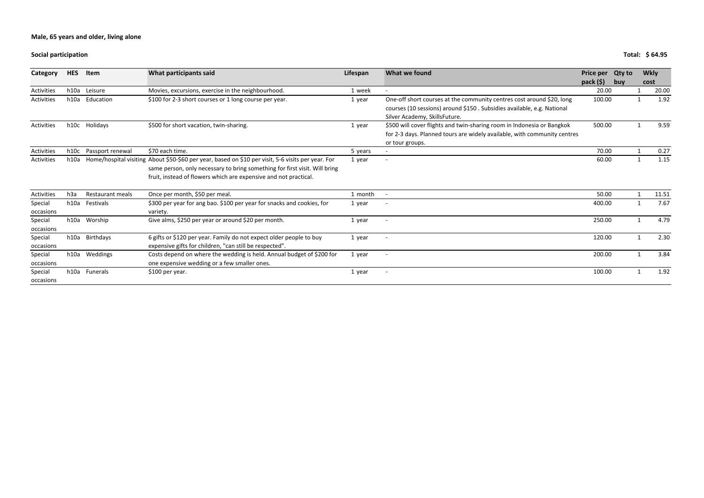**Social participation**

| Total: \$64.95 |
|----------------|
|                |

| Category   | <b>HES</b>       | Item             | What participants said                                                                             | Lifespan | What we found                                                            | Price per Qty to |     |      | <b>Wkly</b> |
|------------|------------------|------------------|----------------------------------------------------------------------------------------------------|----------|--------------------------------------------------------------------------|------------------|-----|------|-------------|
|            |                  |                  |                                                                                                    |          |                                                                          | pack $(5)$       | buv | cost |             |
| Activities | h10a             | Leisure          | Movies, excursions, exercise in the neighbourhood.                                                 | 1 week   | $\overline{\phantom{a}}$                                                 | 20.00            |     |      | 20.00       |
| Activities | h10a             | Education        | \$100 for 2-3 short courses or 1 long course per year.                                             | 1 year   | One-off short courses at the community centres cost around \$20, long    | 100.00           |     |      | 1.92        |
|            |                  |                  |                                                                                                    |          | courses (10 sessions) around \$150. Subsidies available, e.g. National   |                  |     |      |             |
|            |                  |                  |                                                                                                    |          | Silver Academy, SkillsFuture.                                            |                  |     |      |             |
| Activities | h10c             | Holidays         | \$500 for short vacation, twin-sharing.                                                            | 1 year   | \$500 will cover flights and twin-sharing room in Indonesia or Bangkok   | 500.00           |     |      | 9.59        |
|            |                  |                  |                                                                                                    |          | for 2-3 days. Planned tours are widely available, with community centres |                  |     |      |             |
|            |                  |                  |                                                                                                    |          | or tour groups.                                                          |                  |     |      |             |
| Activities | h10c             | Passport renewal | \$70 each time.                                                                                    | 5 years  |                                                                          | 70.00            |     |      | 0.27        |
| Activities | h10a             |                  | Home/hospital visiting About \$50-\$60 per year, based on \$10 per visit, 5-6 visits per year. For | 1 year   | $\overline{\phantom{a}}$                                                 | 60.00            |     |      | 1.15        |
|            |                  |                  | same person, only necessary to bring something for first visit. Will bring                         |          |                                                                          |                  |     |      |             |
|            |                  |                  | fruit, instead of flowers which are expensive and not practical.                                   |          |                                                                          |                  |     |      |             |
| Activities | h <sub>3</sub> a | Restaurant meals | Once per month, \$50 per meal.                                                                     | 1 month  |                                                                          | 50.00            |     |      | 11.51       |
| Special    | h10a             | Festivals        | \$300 per year for ang bao. \$100 per year for snacks and cookies, for                             | 1 year   |                                                                          | 400.00           |     |      | 7.67        |
| occasions  |                  |                  | variety.                                                                                           |          |                                                                          |                  |     |      |             |
| Special    |                  | h10a Worship     | Give alms, \$250 per year or around \$20 per month.                                                | 1 year   | $\overline{a}$                                                           | 250.00           |     |      | 4.79        |
| occasions  |                  |                  |                                                                                                    |          |                                                                          |                  |     |      |             |
| Special    |                  | h10a Birthdays   | 6 gifts or \$120 per year. Family do not expect older people to buy                                | 1 year   | $\overline{a}$                                                           | 120.00           |     |      | 2.30        |
| occasions  |                  |                  | expensive gifts for children, "can still be respected".                                            |          |                                                                          |                  |     |      |             |
| Special    | h10a             | Weddings         | Costs depend on where the wedding is held. Annual budget of \$200 for                              | 1 year   | $\overline{a}$                                                           | 200.00           |     |      | 3.84        |
| occasions  |                  |                  | one expensive wedding or a few smaller ones.                                                       |          |                                                                          |                  |     |      |             |
| Special    |                  | h10a Funerals    | \$100 per year.                                                                                    | 1 year   | $\overline{\phantom{a}}$                                                 | 100.00           |     |      | 1.92        |
| occasions  |                  |                  |                                                                                                    |          |                                                                          |                  |     |      |             |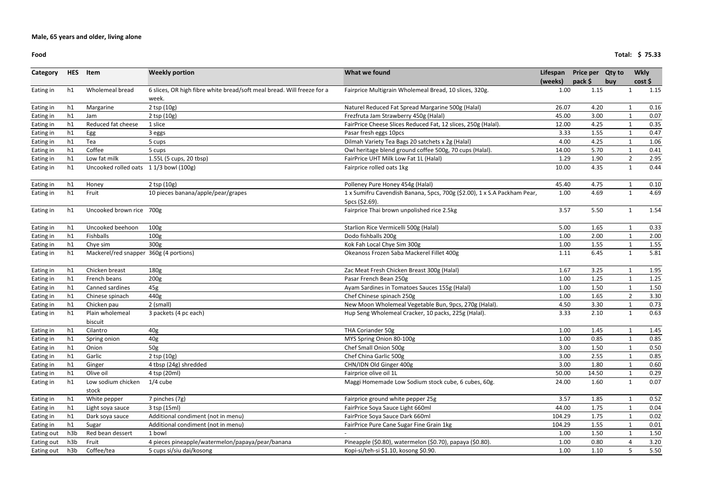**Food**

| Category   | <b>HES</b> | Item                                   | <b>Weekly portion</b>                                                           | What we found                                                            | Lifespan | Price per Qty to |     | <b>Wkly</b>    |      |
|------------|------------|----------------------------------------|---------------------------------------------------------------------------------|--------------------------------------------------------------------------|----------|------------------|-----|----------------|------|
|            |            |                                        |                                                                                 |                                                                          | (weeks)  | pack \$          | buy | cost           |      |
| Eating in  | h1         | Wholemeal bread                        | 6 slices, OR high fibre white bread/soft meal bread. Will freeze for a<br>week. | Fairprice Multigrain Wholemeal Bread, 10 slices, 320g.                   | 1.00     | 1.15             |     | $\mathbf 1$    | 1.15 |
| Eating in  | h1         | Margarine                              | 2 tsp (10g)                                                                     | Naturel Reduced Fat Spread Margarine 500g (Halal)                        | 26.07    | 4.20             |     |                | 0.16 |
| Eating in  | h1         | Jam                                    | $2$ tsp $(10g)$                                                                 | Frezfruta Jam Strawberry 450g (Halal)                                    | 45.00    | 3.00             |     |                | 0.07 |
| Eating in  | h1         | Reduced fat cheese                     | 1 slice                                                                         | FairPrice Cheese Slices Reduced Fat, 12 slices, 250g (Halal).            | 12.00    | 4.25             |     | $\mathbf{1}$   | 0.35 |
| Eating in  | h1         | Egg                                    | 3 eggs                                                                          | Pasar fresh eggs 10pcs                                                   | 3.33     | 1.55             |     |                | 0.47 |
| Eating in  | h1         | Tea                                    | 5 cups                                                                          | Dilmah Variety Tea Bags 20 satchets x 2g (Halal)                         | 4.00     | 4.25             |     | $\mathbf{1}$   | 1.06 |
| Eating in  | h1         | Coffee                                 | 5 cups                                                                          | Owl heritage blend ground coffee 500g, 70 cups (Halal).                  | 14.00    | 5.70             |     | 1              | 0.41 |
| Eating in  | h1         | Low fat milk                           | 1.55L (5 cups, 20 tbsp)                                                         | FairPrice UHT Milk Low Fat 1L (Halal)                                    | 1.29     | 1.90             |     | $\overline{2}$ | 2.95 |
| Eating in  | h1         | Uncooked rolled oats 11/3 bowl (100g)  |                                                                                 | Fairprice rolled oats 1kg                                                | 10.00    | 4.35             |     | $\mathbf{1}$   | 0.44 |
| Eating in  | h1         | Honey                                  | $2$ tsp $(10g)$                                                                 | Polleney Pure Honey 454g (Halal)                                         | 45.40    | 4.75             |     | 1              | 0.10 |
| Eating in  | h1         | Fruit                                  | 10 pieces banana/apple/pear/grapes                                              | 1 x Sumifru Cavendish Banana, 5pcs, 700g (\$2.00), 1 x S.A Packham Pear, | 1.00     | 4.69             |     | $\mathbf{1}$   | 4.69 |
|            |            |                                        |                                                                                 | 5pcs (\$2.69).                                                           |          |                  |     |                |      |
| Eating in  | h1         | Uncooked brown rice 700g               |                                                                                 | Fairprice Thai brown unpolished rice 2.5kg                               | 3.57     | 5.50             |     | $\mathbf{1}$   | 1.54 |
| Eating in  | h1         | Uncooked beehoon                       | 100 <sub>g</sub>                                                                | Starlion Rice Vermicelli 500g (Halal)                                    | 5.00     | 1.65             |     | $\mathbf 1$    | 0.33 |
| Eating in  | h1         | Fishballs                              | 100 <sub>g</sub>                                                                | Dodo fishballs 200g                                                      | 1.00     | 2.00             |     |                | 2.00 |
| Eating in  | h1         | Chye sim                               | 300g                                                                            | Kok Fah Local Chye Sim 300g                                              | 1.00     | 1.55             |     | 1              | 1.55 |
| Eating in  | h1         | Mackerel/red snapper 360g (4 portions) |                                                                                 | Okeanoss Frozen Saba Mackerel Fillet 400g                                | 1.11     | 6.45             |     | 1              | 5.81 |
| Eating in  | h1         | Chicken breast                         | 180g                                                                            | Zac Meat Fresh Chicken Breast 300g (Halal)                               | 1.67     | 3.25             |     | $\mathbf{1}$   | 1.95 |
| Eating in  | h1         | French beans                           | 200g                                                                            | Pasar French Bean 250g                                                   | 1.00     | 1.25             |     | 1              | 1.25 |
| Eating in  | h1         | Canned sardines                        | 45g                                                                             | Ayam Sardines in Tomatoes Sauces 155g (Halal)                            | 1.00     | 1.50             |     | 1              | 1.50 |
| Eating in  | h1         | Chinese spinach                        | 440g                                                                            | Chef Chinese spinach 250g                                                | 1.00     | 1.65             |     | $\overline{2}$ | 3.30 |
| Eating in  | h1         | Chicken pau                            | 2 (small)                                                                       | New Moon Wholemeal Vegetable Bun, 9pcs, 270g (Halal).                    | 4.50     | 3.30             |     | 1              | 0.73 |
| Eating in  | h1         | Plain wholemeal<br>biscuit             | 3 packets (4 pc each)                                                           | Hup Seng Wholemeal Cracker, 10 packs, 225g (Halal).                      | 3.33     | 2.10             |     | $\mathbf{1}$   | 0.63 |
| Eating in  | h1         | Cilantro                               | 40g                                                                             | THA Coriander 50g                                                        | 1.00     | 1.45             |     | 1              | 1.45 |
| Eating in  | h1         | Spring onion                           | 40g                                                                             | MYS Spring Onion 80-100g                                                 | 1.00     | 0.85             |     |                | 0.85 |
| Eating in  | h1         | Onion                                  | 50g                                                                             | Chef Small Onion 500g                                                    | 3.00     | 1.50             |     | 1              | 0.50 |
| Eating in  | h1         | Garlic                                 | 2 tsp (10g)                                                                     | Chef China Garlic 500g                                                   | 3.00     | 2.55             |     |                | 0.85 |
| Eating in  | h1         | Ginger                                 | 4 tbsp (24g) shredded                                                           | CHN/IDN Old Ginger 400g                                                  | 3.00     | 1.80             |     |                | 0.60 |
| Eating in  | h1         | Olive oil                              | 4 tsp (20ml)                                                                    | Fairprice olive oil 1L                                                   | 50.00    | 14.50            |     |                | 0.29 |
| Eating in  | h1         | Low sodium chicken                     | $1/4$ cube                                                                      | Maggi Homemade Low Sodium stock cube, 6 cubes, 60g.                      | 24.00    | 1.60             |     | $\mathbf{1}$   | 0.07 |
|            |            | stock                                  |                                                                                 |                                                                          |          |                  |     |                |      |
| Eating in  | h1         | White pepper                           | 7 pinches (7g)                                                                  | Fairprice ground white pepper 25g                                        | 3.57     | 1.85             |     |                | 0.52 |
| Eating in  | h1         | Light soya sauce                       | 3 tsp (15ml)                                                                    | FairPrice Soya Sauce Light 660ml                                         | 44.00    | 1.75             |     |                | 0.04 |
| Eating in  | h1         | Dark soya sauce                        | Additional condiment (not in menu)                                              | FairPrice Soya Sauce Dark 660ml                                          | 104.29   | 1.75             |     |                | 0.02 |
| Eating in  | h1         | Sugar                                  | Additional condiment (not in menu)                                              | FairPrice Pure Cane Sugar Fine Grain 1kg                                 | 104.29   | 1.55             |     |                | 0.01 |
| Eating out | h3b        | Red bean dessert                       | 1 bowl                                                                          |                                                                          | 1.00     | 1.50             |     |                | 1.50 |
| Eating out | h3b        | Fruit                                  | 4 pieces pineapple/watermelon/papaya/pear/banana                                | Pineapple (\$0.80), watermelon (\$0.70), papaya (\$0.80).                | 1.00     | 0.80             |     |                | 3.20 |
| Eating out | h3b        | Coffee/tea                             | 5 cups si/siu dai/kosong                                                        | Kopi-si/teh-si \$1.10, kosong \$0.90.                                    | 1.00     | 1.10             |     | 5              | 5.50 |

**Total: \$ 75.33**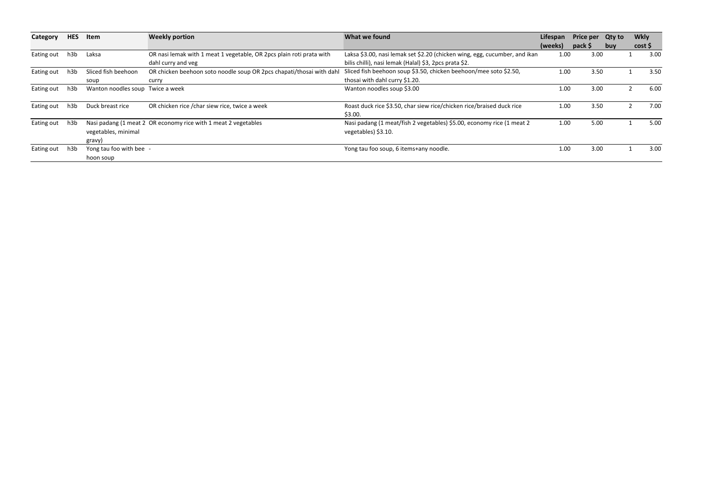| Category   | <b>HES</b> | Item                               | <b>Weekly portion</b>                                                | What we found                                                                                | Lifespan | <b>Price per</b> | Qty to | <b>Wkly</b> |      |
|------------|------------|------------------------------------|----------------------------------------------------------------------|----------------------------------------------------------------------------------------------|----------|------------------|--------|-------------|------|
|            |            |                                    |                                                                      |                                                                                              | (weeks)  | pack \$          | buv    | cost        |      |
| Eating out | h3b        | Laksa                              | OR nasi lemak with 1 meat 1 vegetable, OR 2pcs plain roti prata with | Laksa \$3.00, nasi lemak set \$2.20 (chicken wing, egg, cucumber, and ikan                   | 1.00     | 3.00             |        |             | 3.00 |
|            |            |                                    | dahl curry and veg                                                   | bilis chilli), nasi lemak (Halal) \$3, 2pcs prata \$2.                                       |          |                  |        |             |      |
| Eating out | h3b        | Sliced fish beehoon                | OR chicken beehoon soto noodle soup OR 2pcs chapati/thosai with dah  | Sliced fish beehoon soup \$3.50, chicken beehoon/mee soto \$2.50,                            | 1.00     | 3.50             |        |             | 3.50 |
|            |            | soup                               | curry                                                                | thosai with dahl curry \$1.20.                                                               |          |                  |        |             |      |
| Eating out | h3b        | Wanton noodles soup Twice a week   |                                                                      | Wanton noodles soup \$3.00                                                                   | 1.00     | 3.00             |        |             | 6.00 |
| Eating out | h3b        | Duck breast rice                   | OR chicken rice / char siew rice, twice a week                       | Roast duck rice \$3.50, char siew rice/chicken rice/braised duck rice<br>\$3.00.             | 1.00     | 3.50             |        |             | 7.00 |
| Eating out | h3ł        | vegetables, minimal<br>gravy)      | Nasi padang (1 meat 2 OR economy rice with 1 meat 2 vegetables       | Nasi padang (1 meat/fish 2 vegetables) \$5.00, economy rice (1 meat 2<br>vegetables) \$3.10. | 1.00     | 5.00             |        |             | 5.00 |
| Eating out | h3b        | Yong tau foo with bee<br>hoon soup |                                                                      | Yong tau foo soup, 6 items+any noodle.                                                       | 1.00     | 3.00             |        |             | 3.00 |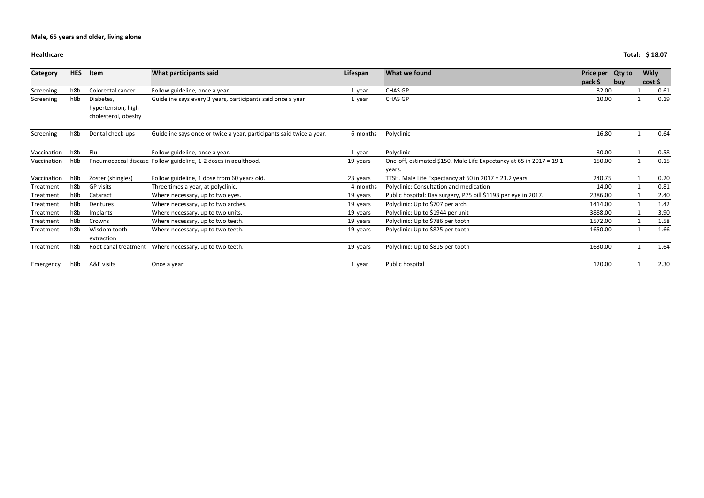### **Healthcare**

| Category    | <b>HES</b> | Item                 | What participants said                                               | Lifespan | What we found                                                       | Price per | <b>Qty to</b> | <b>Wkly</b> |      |
|-------------|------------|----------------------|----------------------------------------------------------------------|----------|---------------------------------------------------------------------|-----------|---------------|-------------|------|
|             |            |                      |                                                                      |          |                                                                     | $pack$ \$ | buy           | cost        |      |
| Screening   | h8b        | Colorectal cancer    | Follow guideline, once a year.                                       | 1 year   | <b>CHAS GP</b>                                                      | 32.00     |               |             | 0.61 |
| Screening   | h8b        | Diabetes,            | Guideline says every 3 years, participants said once a year.         | 1 year   | <b>CHAS GP</b>                                                      | 10.00     |               |             | 0.19 |
|             |            | hypertension, high   |                                                                      |          |                                                                     |           |               |             |      |
|             |            | cholesterol, obesity |                                                                      |          |                                                                     |           |               |             |      |
| Screening   | h8b        | Dental check-ups     | Guideline says once or twice a year, participants said twice a year. | 6 months | Polyclinic                                                          | 16.80     |               |             | 0.64 |
| Vaccination | h8b        | Flu                  | Follow guideline, once a year.                                       | 1 year   | Polyclinic                                                          | 30.00     |               |             | 0.58 |
| Vaccination | h8b        |                      | Pneumococcal disease Follow guideline, 1-2 doses in adulthood.       | 19 years | One-off, estimated \$150. Male Life Expectancy at 65 in 2017 = 19.1 | 150.00    |               |             | 0.15 |
|             |            |                      |                                                                      |          | years.                                                              |           |               |             |      |
| Vaccination | h8b        | Zoster (shingles)    | Follow guideline, 1 dose from 60 years old.                          | 23 years | TTSH. Male Life Expectancy at 60 in 2017 = 23.2 years.              | 240.75    |               |             | 0.20 |
| Treatment   | h8b        | <b>GP</b> visits     | Three times a year, at polyclinic.                                   | 4 months | Polyclinic: Consultation and medication                             | 14.00     |               |             | 0.81 |
| Treatment   | h8b        | Cataract             | Where necessary, up to two eyes.                                     | 19 years | Public hospital: Day surgery, P75 bill \$1193 per eye in 2017.      | 2386.00   |               |             | 2.40 |
| Treatment   | h8b        | Dentures             | Where necessary, up to two arches.                                   | 19 years | Polyclinic: Up to \$707 per arch                                    | 1414.00   |               |             | 1.42 |
| Treatment   | h8b        | Implants             | Where necessary, up to two units.                                    | 19 years | Polyclinic: Up to \$1944 per unit                                   | 3888.00   |               |             | 3.90 |
| Treatment   | h8b        | Crowns               | Where necessary, up to two teeth.                                    | 19 years | Polyclinic: Up to \$786 per tooth                                   | 1572.00   |               |             | 1.58 |
| Treatment   | h8b        | Wisdom tooth         | Where necessary, up to two teeth.                                    | 19 years | Polyclinic: Up to \$825 per tooth                                   | 1650.00   |               |             | 1.66 |
|             |            | extraction           |                                                                      |          |                                                                     |           |               |             |      |
| Treatment   | h8b        |                      | Root canal treatment Where necessary, up to two teeth.               | 19 years | Polyclinic: Up to \$815 per tooth                                   | 1630.00   |               |             | 1.64 |
| Emergency   | h8b        | A&E visits           | Once a year.                                                         | 1 year   | Public hospital                                                     | 120.00    |               |             | 2.30 |

**Total: \$ 18.07**